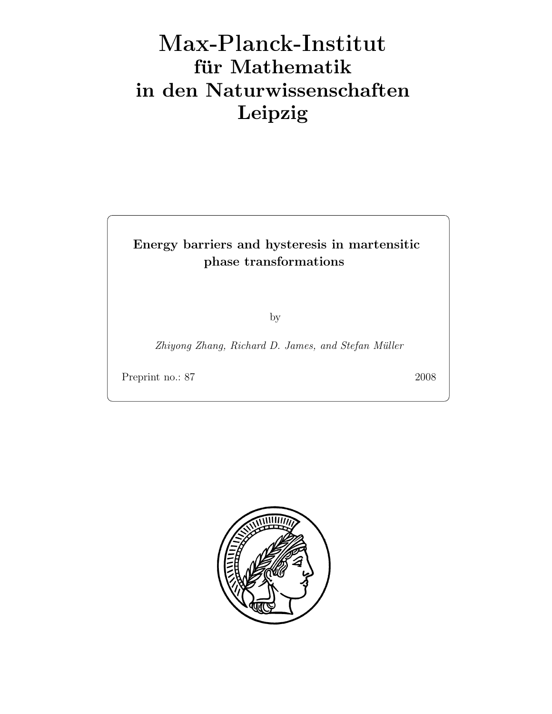# Max-Plan
k-Institut für Mathematik in den Naturwissenschaften Leipzig

### Energy barriers and hysteresis in martensitic phase transformations

by

Zhiyong Zhang, Richard D. James, and Stefan Müller

Preprint no.: 87 2008

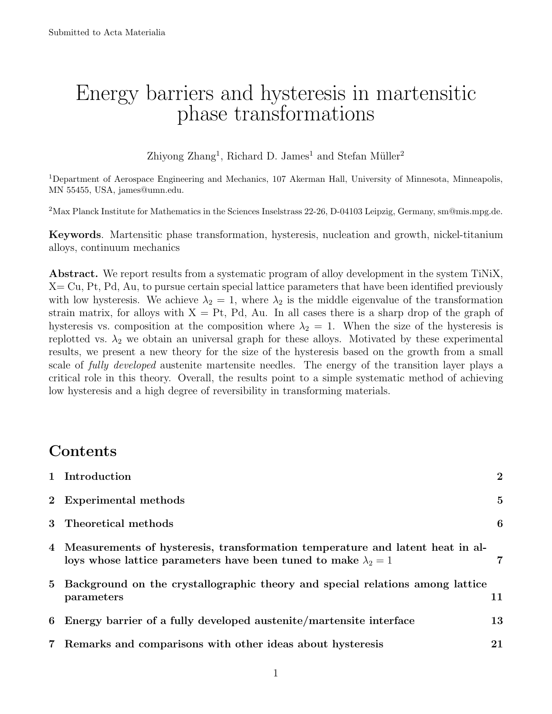# Energy barriers and hysteresis in martensitic phase transformations

Zhiyong Zhang<sup>1</sup>, Richard D. James<sup>1</sup> and Stefan Müller<sup>2</sup>

<sup>1</sup>Department of Aerospace Engineering and Mechanics, 107 Akerman Hall, University of Minnesota, Minneapolis, MN 55455, USA, james@umn.edu.

<sup>2</sup>Max Planck Institute for Mathematics in the Sciences Inselstrass 22-26, D-04103 Leipzig, Germany, sm@mis.mpg.de.

Keywords. Martensitic phase transformation, hysteresis, nucleation and growth, nickel-titanium alloys, continuum mechanics

Abstract. We report results from a systematic program of alloy development in the system TiNiX,  $X = Cu$ , Pt, Pd, Au, to pursue certain special lattice parameters that have been identified previously with low hysteresis. We achieve  $\lambda_2 = 1$ , where  $\lambda_2$  is the middle eigenvalue of the transformation strain matrix, for alloys with  $X = Pt$ , Pd, Au. In all cases there is a sharp drop of the graph of hysteresis vs. composition at the composition where  $\lambda_2 = 1$ . When the size of the hysteresis is replotted vs.  $\lambda_2$  we obtain an universal graph for these alloys. Motivated by these experimental results, we present a new theory for the size of the hysteresis based on the growth from a small scale of *fully developed* austenite martensite needles. The energy of the transition layer plays a critical role in this theory. Overall, the results point to a simple systematic method of achieving low hysteresis and a high degree of reversibility in transforming materials.

# Contents

| 1 Introduction                                                                                                                                           | $\overline{2}$ |
|----------------------------------------------------------------------------------------------------------------------------------------------------------|----------------|
| 2 Experimental methods                                                                                                                                   | $\overline{5}$ |
| 3 Theoretical methods                                                                                                                                    | 6              |
| 4 Measurements of hysteresis, transformation temperature and latent heat in al-<br>loys whose lattice parameters have been tuned to make $\lambda_2 = 1$ |                |
| 5 Background on the crystallographic theory and special relations among lattice<br>parameters                                                            | 11             |
| 6 Energy barrier of a fully developed austenite/martensite interface                                                                                     | 13             |
| 7 Remarks and comparisons with other ideas about hysteresis                                                                                              | 21             |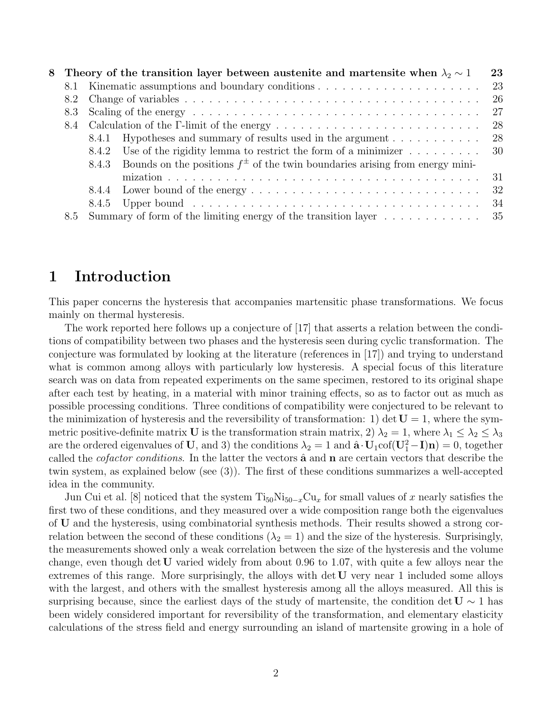| 23<br>8 Theory of the transition layer between austenite and martensite when $\lambda_2 \sim 1$ |       |                                                                                                   |      |  |  |  |
|-------------------------------------------------------------------------------------------------|-------|---------------------------------------------------------------------------------------------------|------|--|--|--|
| 8.1                                                                                             |       |                                                                                                   | 23   |  |  |  |
|                                                                                                 |       |                                                                                                   | -26  |  |  |  |
|                                                                                                 |       |                                                                                                   |      |  |  |  |
|                                                                                                 |       |                                                                                                   | - 28 |  |  |  |
|                                                                                                 |       | 8.4.1 Hypotheses and summary of results used in the argument 28                                   |      |  |  |  |
|                                                                                                 | 8.4.2 | Use of the rigidity lemma to restrict the form of a minimizer $\dots \dots \dots$ 30              |      |  |  |  |
|                                                                                                 |       | 8.4.3 Bounds on the positions $f^{\pm}$ of the twin boundaries arising from energy mini-          |      |  |  |  |
|                                                                                                 |       |                                                                                                   |      |  |  |  |
|                                                                                                 |       |                                                                                                   |      |  |  |  |
|                                                                                                 |       |                                                                                                   | -34  |  |  |  |
| 8.5                                                                                             |       | Summary of form of the limiting energy of the transition layer $\dots \dots \dots \dots \dots$ 35 |      |  |  |  |

### 1 Introduction

This paper concerns the hysteresis that accompanies martensitic phase transformations. We focus mainly on thermal hysteresis.

The work reported here follows up a conjecture of [17] that asserts a relation between the conditions of compatibility between two phases and the hysteresis seen during cyclic transformation. The conjecture was formulated by looking at the literature (references in [17]) and trying to understand what is common among alloys with particularly low hysteresis. A special focus of this literature search was on data from repeated experiments on the same specimen, restored to its original shape after each test by heating, in a material with minor training effects, so as to factor out as much as possible processing conditions. Three conditions of compatibility were conjectured to be relevant to the minimization of hysteresis and the reversibility of transformation: 1) det  $U = 1$ , where the symmetric positive-definite matrix U is the transformation strain matrix, 2)  $\lambda_2 = 1$ , where  $\lambda_1 \leq \lambda_2 \leq \lambda_3$ are the ordered eigenvalues of U, and 3) the conditions  $\lambda_2 = 1$  and  $\hat{\mathbf{a}} \cdot \mathbf{U}_1 \text{cof}(\mathbf{U}_1^2 - \mathbf{I})\mathbf{n} = 0$ , together called the *cofactor conditions*. In the latter the vectors  $\hat{a}$  and  $n$  are certain vectors that describe the twin system, as explained below (see (3)). The first of these conditions summarizes a well-accepted idea in the community.

Jun Cui et al. [8] noticed that the system  $\text{Ti}_{50}\text{Ni}_{50-x}\text{Cu}_{x}$  for small values of x nearly satisfies the first two of these conditions, and they measured over a wide composition range both the eigenvalues of U and the hysteresis, using combinatorial synthesis methods. Their results showed a strong correlation between the second of these conditions  $(\lambda_2 = 1)$  and the size of the hysteresis. Surprisingly, the measurements showed only a weak correlation between the size of the hysteresis and the volume change, even though det U varied widely from about 0.96 to 1.07, with quite a few alloys near the extremes of this range. More surprisingly, the alloys with  $\det U$  very near 1 included some alloys with the largest, and others with the smallest hysteresis among all the alloys measured. All this is surprising because, since the earliest days of the study of martensite, the condition det  $U \sim 1$  has been widely considered important for reversibility of the transformation, and elementary elasticity calculations of the stress field and energy surrounding an island of martensite growing in a hole of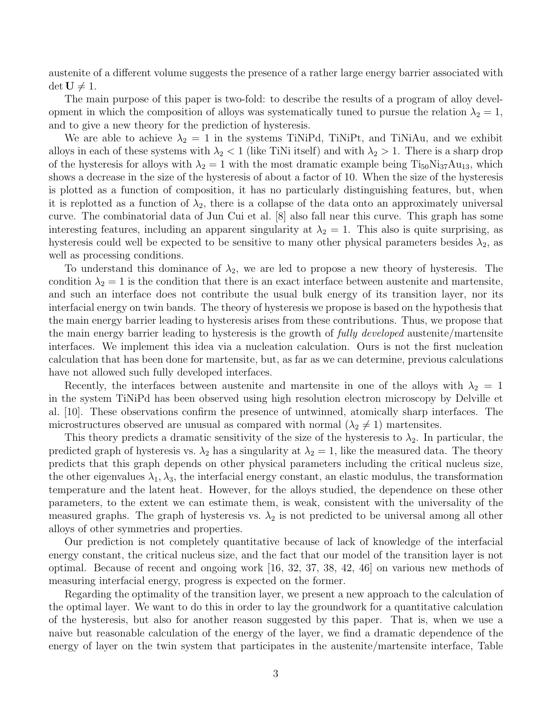austenite of a different volume suggests the presence of a rather large energy barrier associated with  $\det U \neq 1.$ 

The main purpose of this paper is two-fold: to describe the results of a program of alloy development in which the composition of alloys was systematically tuned to pursue the relation  $\lambda_2 = 1$ , and to give a new theory for the prediction of hysteresis.

We are able to achieve  $\lambda_2 = 1$  in the systems TiNiPd, TiNiPt, and TiNiAu, and we exhibit alloys in each of these systems with  $\lambda_2 < 1$  (like TiNi itself) and with  $\lambda_2 > 1$ . There is a sharp drop of the hysteresis for alloys with  $\lambda_2 = 1$  with the most dramatic example being Ti<sub>50</sub>Ni<sub>37</sub>Au<sub>13</sub>, which shows a decrease in the size of the hysteresis of about a factor of 10. When the size of the hysteresis is plotted as a function of composition, it has no particularly distinguishing features, but, when it is replotted as a function of  $\lambda_2$ , there is a collapse of the data onto an approximately universal curve. The combinatorial data of Jun Cui et al. [8] also fall near this curve. This graph has some interesting features, including an apparent singularity at  $\lambda_2 = 1$ . This also is quite surprising, as hysteresis could well be expected to be sensitive to many other physical parameters besides  $\lambda_2$ , as well as processing conditions.

To understand this dominance of  $\lambda_2$ , we are led to propose a new theory of hysteresis. The condition  $\lambda_2 = 1$  is the condition that there is an exact interface between austenite and martensite, and such an interface does not contribute the usual bulk energy of its transition layer, nor its interfacial energy on twin bands. The theory of hysteresis we propose is based on the hypothesis that the main energy barrier leading to hysteresis arises from these contributions. Thus, we propose that the main energy barrier leading to hysteresis is the growth of fully developed austenite/martensite interfaces. We implement this idea via a nucleation calculation. Ours is not the first nucleation calculation that has been done for martensite, but, as far as we can determine, previous calculations have not allowed such fully developed interfaces.

Recently, the interfaces between austenite and martensite in one of the alloys with  $\lambda_2 = 1$ in the system TiNiPd has been observed using high resolution electron microscopy by Delville et al. [10]. These observations confirm the presence of untwinned, atomically sharp interfaces. The microstructures observed are unusual as compared with normal  $(\lambda_2 \neq 1)$  martensites.

This theory predicts a dramatic sensitivity of the size of the hysteresis to  $\lambda_2$ . In particular, the predicted graph of hysteresis vs.  $\lambda_2$  has a singularity at  $\lambda_2 = 1$ , like the measured data. The theory predicts that this graph depends on other physical parameters including the critical nucleus size, the other eigenvalues  $\lambda_1, \lambda_3$ , the interfacial energy constant, an elastic modulus, the transformation temperature and the latent heat. However, for the alloys studied, the dependence on these other parameters, to the extent we can estimate them, is weak, consistent with the universality of the measured graphs. The graph of hysteresis vs.  $\lambda_2$  is not predicted to be universal among all other alloys of other symmetries and properties.

Our prediction is not completely quantitative because of lack of knowledge of the interfacial energy constant, the critical nucleus size, and the fact that our model of the transition layer is not optimal. Because of recent and ongoing work [16, 32, 37, 38, 42, 46] on various new methods of measuring interfacial energy, progress is expected on the former.

Regarding the optimality of the transition layer, we present a new approach to the calculation of the optimal layer. We want to do this in order to lay the groundwork for a quantitative calculation of the hysteresis, but also for another reason suggested by this paper. That is, when we use a naive but reasonable calculation of the energy of the layer, we find a dramatic dependence of the energy of layer on the twin system that participates in the austenite/martensite interface, Table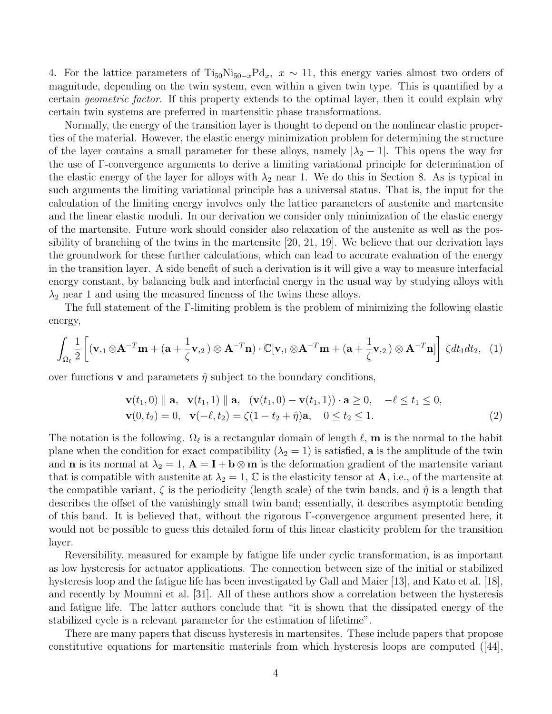4. For the lattice parameters of  $Ti_{50}Ni_{50-x}Pd_x$ ,  $x \sim 11$ , this energy varies almost two orders of magnitude, depending on the twin system, even within a given twin type. This is quantified by a certain geometric factor. If this property extends to the optimal layer, then it could explain why certain twin systems are preferred in martensitic phase transformations.

Normally, the energy of the transition layer is thought to depend on the nonlinear elastic properties of the material. However, the elastic energy minimization problem for determining the structure of the layer contains a small parameter for these alloys, namely  $|\lambda_2 - 1|$ . This opens the way for the use of Γ-convergence arguments to derive a limiting variational principle for determination of the elastic energy of the layer for alloys with  $\lambda_2$  near 1. We do this in Section 8. As is typical in such arguments the limiting variational principle has a universal status. That is, the input for the calculation of the limiting energy involves only the lattice parameters of austenite and martensite and the linear elastic moduli. In our derivation we consider only minimization of the elastic energy of the martensite. Future work should consider also relaxation of the austenite as well as the possibility of branching of the twins in the martensite [20, 21, 19]. We believe that our derivation lays the groundwork for these further calculations, which can lead to accurate evaluation of the energy in the transition layer. A side benefit of such a derivation is it will give a way to measure interfacial energy constant, by balancing bulk and interfacial energy in the usual way by studying alloys with  $\lambda_2$  near 1 and using the measured fineness of the twins these alloys.

The full statement of the Γ-limiting problem is the problem of minimizing the following elastic energy,

$$
\int_{\Omega_{\ell}} \frac{1}{2} \left[ (\mathbf{v}_{11} \otimes \mathbf{A}^{-T} \mathbf{m} + (\mathbf{a} + \frac{1}{\zeta} \mathbf{v}_{2}) \otimes \mathbf{A}^{-T} \mathbf{n}) \cdot \mathbb{C}[\mathbf{v}_{11} \otimes \mathbf{A}^{-T} \mathbf{m} + (\mathbf{a} + \frac{1}{\zeta} \mathbf{v}_{2}) \otimes \mathbf{A}^{-T} \mathbf{n}] \right] \zeta dt_1 dt_2, \quad (1)
$$

over functions **v** and parameters  $\hat{\eta}$  subject to the boundary conditions,

$$
\mathbf{v}(t_1,0) \parallel \mathbf{a}, \quad \mathbf{v}(t_1,1) \parallel \mathbf{a}, \quad (\mathbf{v}(t_1,0) - \mathbf{v}(t_1,1)) \cdot \mathbf{a} \ge 0, \quad -\ell \le t_1 \le 0, \n\mathbf{v}(0,t_2) = 0, \quad \mathbf{v}(-\ell,t_2) = \zeta(1-t_2+\hat{\eta})\mathbf{a}, \quad 0 \le t_2 \le 1.
$$
\n(2)

The notation is the following.  $\Omega_{\ell}$  is a rectangular domain of length  $\ell$ , **m** is the normal to the habit plane when the condition for exact compatibility  $(\lambda_2 = 1)$  is satisfied, **a** is the amplitude of the twin and **n** is its normal at  $\lambda_2 = 1$ ,  $\mathbf{A} = \mathbf{I} + \mathbf{b} \otimes \mathbf{m}$  is the deformation gradient of the martensite variant that is compatible with austenite at  $\lambda_2 = 1$ , C is the elasticity tensor at **A**, i.e., of the martensite at the compatible variant,  $\zeta$  is the periodicity (length scale) of the twin bands, and  $\hat{\eta}$  is a length that describes the offset of the vanishingly small twin band; essentially, it describes asymptotic bending of this band. It is believed that, without the rigorous Γ-convergence argument presented here, it would not be possible to guess this detailed form of this linear elasticity problem for the transition layer.

Reversibility, measured for example by fatigue life under cyclic transformation, is as important as low hysteresis for actuator applications. The connection between size of the initial or stabilized hysteresis loop and the fatigue life has been investigated by Gall and Maier [13], and Kato et al. [18], and recently by Moumni et al. [31]. All of these authors show a correlation between the hysteresis and fatigue life. The latter authors conclude that "it is shown that the dissipated energy of the stabilized cycle is a relevant parameter for the estimation of lifetime.

There are many papers that discuss hysteresis in martensites. These include papers that propose constitutive equations for martensitic materials from which hysteresis loops are computed ([44],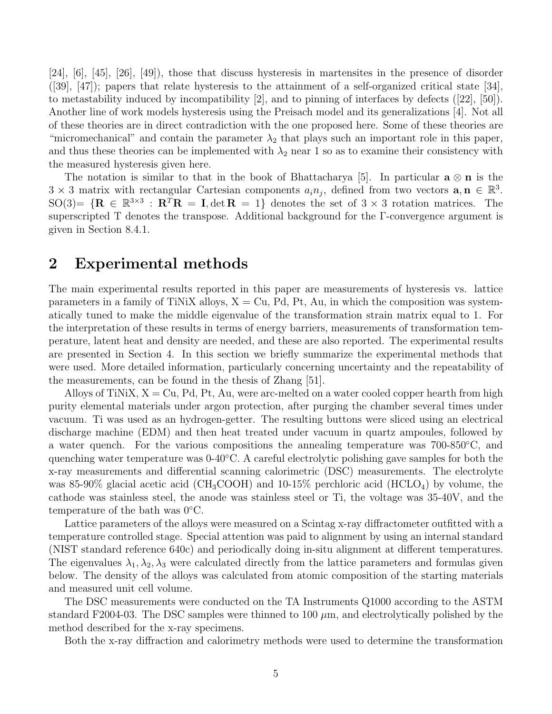[24], [6], [45], [26], [49]), those that discuss hysteresis in martensites in the presence of disorder ([39], [47]); papers that relate hysteresis to the attainment of a self-organized critical state [34], to metastability induced by incompatibility [2], and to pinning of interfaces by defects ([22], [50]). Another line of work models hysteresis using the Preisach model and its generalizations [4]. Not all of these theories are in direct contradiction with the one proposed here. Some of these theories are "micromechanical" and contain the parameter  $\lambda_2$  that plays such an important role in this paper, and thus these theories can be implemented with  $\lambda_2$  near 1 so as to examine their consistency with the measured hysteresis given here.

The notation is similar to that in the book of Bhattacharya [5]. In particular  $\mathbf{a} \otimes \mathbf{n}$  is the  $3 \times 3$  matrix with rectangular Cartesian components  $a_i n_j$ , defined from two vectors  $\mathbf{a}, \mathbf{n} \in \mathbb{R}^3$ .  $SO(3) = \{ R \in \mathbb{R}^{3 \times 3} : R^T R = I, \det R = 1 \}$  denotes the set of  $3 \times 3$  rotation matrices. The superscripted T denotes the transpose. Additional background for the Γ-convergence argument is given in Section 8.4.1.

### 2 Experimental methods

The main experimental results reported in this paper are measurements of hysteresis vs. lattice parameters in a family of TiNiX alloys,  $X = Cu$ , Pd, Pt, Au, in which the composition was systematically tuned to make the middle eigenvalue of the transformation strain matrix equal to 1. For the interpretation of these results in terms of energy barriers, measurements of transformation temperature, latent heat and density are needed, and these are also reported. The experimental results are presented in Section 4. In this section we briefly summarize the experimental methods that were used. More detailed information, particularly concerning uncertainty and the repeatability of the measurements, can be found in the thesis of Zhang [51].

Alloys of TiNiX,  $X = Cu$ , Pd, Pt, Au, were arc-melted on a water cooled copper hearth from high purity elemental materials under argon protection, after purging the chamber several times under vacuum. Ti was used as an hydrogen-getter. The resulting buttons were sliced using an electrical discharge machine (EDM) and then heat treated under vacuum in quartz ampoules, followed by a water quench. For the various compositions the annealing temperature was  $700-850^{\circ}\text{C}$ , and quenching water temperature was 0-40◦C. A careful electrolytic polishing gave samples for both the x-ray measurements and differential scanning calorimetric (DSC) measurements. The electrolyte was 85-90% glacial acetic acid (CH<sub>3</sub>COOH) and 10-15% perchloric acid (HCLO<sub>4</sub>) by volume, the cathode was stainless steel, the anode was stainless steel or Ti, the voltage was 35-40V, and the temperature of the bath was 0◦C.

Lattice parameters of the alloys were measured on a Scintag x-ray diffractometer outfitted with a temperature controlled stage. Special attention was paid to alignment by using an internal standard (NIST standard reference 640c) and periodically doing in-situ alignment at different temperatures. The eigenvalues  $\lambda_1, \lambda_2, \lambda_3$  were calculated directly from the lattice parameters and formulas given below. The density of the alloys was calculated from atomic composition of the starting materials and measured unit cell volume.

The DSC measurements were conducted on the TA Instruments Q1000 according to the ASTM standard F2004-03. The DSC samples were thinned to  $100 \mu m$ , and electrolytically polished by the method described for the x-ray specimens.

Both the x-ray diffraction and calorimetry methods were used to determine the transformation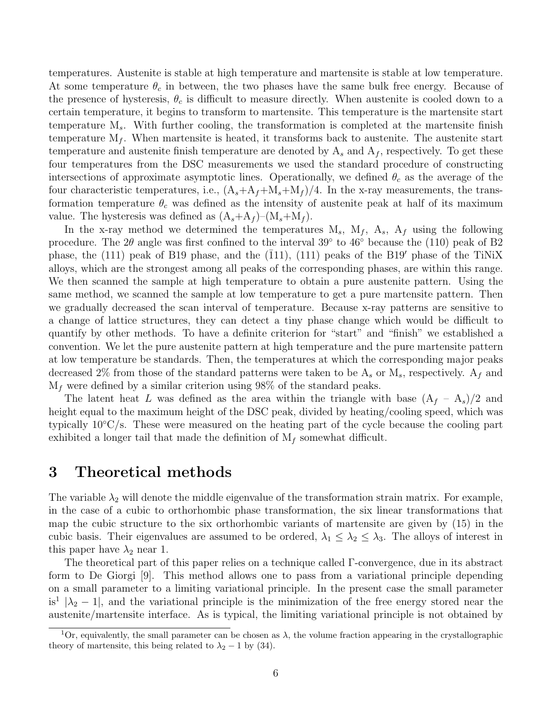temperatures. Austenite is stable at high temperature and martensite is stable at low temperature. At some temperature  $\theta_c$  in between, the two phases have the same bulk free energy. Because of the presence of hysteresis,  $\theta_c$  is difficult to measure directly. When austenite is cooled down to a certain temperature, it begins to transform to martensite. This temperature is the martensite start temperature  $M_s$ . With further cooling, the transformation is completed at the martensite finish temperature  $M_f$ . When martensite is heated, it transforms back to austenite. The austenite start temperature and austenite finish temperature are denoted by  $A_s$  and  $A_f$ , respectively. To get these four temperatures from the DSC measurements we used the standard procedure of constructing intersections of approximate asymptotic lines. Operationally, we defined  $\theta_c$  as the average of the four characteristic temperatures, i.e.,  $(A_s + A_f + M_s + M_f)/4$ . In the x-ray measurements, the transformation temperature  $\theta_c$  was defined as the intensity of austenite peak at half of its maximum value. The hysteresis was defined as  $(A_s+A_f)-(M_s+M_f)$ .

In the x-ray method we determined the temperatures  $M_s$ ,  $M_f$ ,  $A_s$ ,  $A_f$  using the following procedure. The  $2\theta$  angle was first confined to the interval  $39°$  to  $46°$  because the (110) peak of B2 phase, the (111) peak of B19 phase, and the (111), (111) peaks of the B19' phase of the TiNiX alloys, which are the strongest among all peaks of the corresponding phases, are within this range. We then scanned the sample at high temperature to obtain a pure austenite pattern. Using the same method, we scanned the sample at low temperature to get a pure martensite pattern. Then we gradually decreased the scan interval of temperature. Because x-ray patterns are sensitive to a change of lattice structures, they can detect a tiny phase change which would be difficult to quantify by other methods. To have a definite criterion for "start" and "finish" we established a convention. We let the pure austenite pattern at high temperature and the pure martensite pattern at low temperature be standards. Then, the temperatures at which the corresponding major peaks decreased 2% from those of the standard patterns were taken to be  $A_s$  or  $M_s$ , respectively.  $A_f$  and  $M_f$  were defined by a similar criterion using 98% of the standard peaks.

The latent heat L was defined as the area within the triangle with base  $(A_f - A_s)/2$  and height equal to the maximum height of the DSC peak, divided by heating/cooling speed, which was typically  $10\degree$ C/s. These were measured on the heating part of the cycle because the cooling part exhibited a longer tail that made the definition of  $M_f$  somewhat difficult.

### 3 Theoretical methods

The variable  $\lambda_2$  will denote the middle eigenvalue of the transformation strain matrix. For example, in the case of a cubic to orthorhombic phase transformation, the six linear transformations that map the cubic structure to the six orthorhombic variants of martensite are given by (15) in the cubic basis. Their eigenvalues are assumed to be ordered,  $\lambda_1 \leq \lambda_2 \leq \lambda_3$ . The alloys of interest in this paper have  $\lambda_2$  near 1.

The theoretical part of this paper relies on a technique called Γ-convergence, due in its abstract form to De Giorgi [9]. This method allows one to pass from a variational principle depending on a small parameter to a limiting variational principle. In the present case the small parameter is<sup>1</sup> | $\lambda_2$  – 1|, and the variational principle is the minimization of the free energy stored near the austenite/martensite interface. As is typical, the limiting variational principle is not obtained by

<sup>&</sup>lt;sup>1</sup>Or, equivalently, the small parameter can be chosen as  $\lambda$ , the volume fraction appearing in the crystallographic theory of martensite, this being related to  $\lambda_2 - 1$  by (34).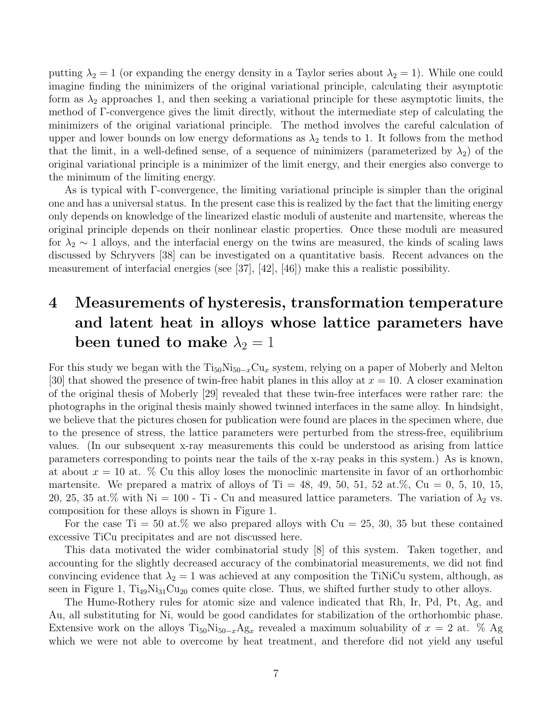putting  $\lambda_2 = 1$  (or expanding the energy density in a Taylor series about  $\lambda_2 = 1$ ). While one could imagine finding the minimizers of the original variational principle, calculating their asymptotic form as  $\lambda_2$  approaches 1, and then seeking a variational principle for these asymptotic limits, the method of Γ-convergence gives the limit directly, without the intermediate step of calculating the minimizers of the original variational principle. The method involves the careful calculation of upper and lower bounds on low energy deformations as  $\lambda_2$  tends to 1. It follows from the method that the limit, in a well-defined sense, of a sequence of minimizers (parameterized by  $\lambda_2$ ) of the original variational principle is a minimizer of the limit energy, and their energies also converge to the minimum of the limiting energy.

As is typical with Γ-convergence, the limiting variational principle is simpler than the original one and has a universal status. In the present case this is realized by the fact that the limiting energy only depends on knowledge of the linearized elastic moduli of austenite and martensite, whereas the original principle depends on their nonlinear elastic properties. Once these moduli are measured for  $\lambda_2 \sim 1$  alloys, and the interfacial energy on the twins are measured, the kinds of scaling laws discussed by Schryvers [38] can be investigated on a quantitative basis. Recent advances on the measurement of interfacial energies (see [37], [42], [46]) make this a realistic possibility.

# 4 Measurements of hysteresis, transformation temperature and latent heat in alloys whose lattice parameters have been tuned to make  $\lambda_2 = 1$

For this study we began with the  $T_{50}Ni_{50-x}Cu_x$  system, relying on a paper of Moberly and Melton [30] that showed the presence of twin-free habit planes in this alloy at  $x = 10$ . A closer examination of the original thesis of Moberly [29] revealed that these twin-free interfaces were rather rare: the photographs in the original thesis mainly showed twinned interfaces in the same alloy. In hindsight, we believe that the pictures chosen for publication were found are places in the specimen where, due to the presence of stress, the lattice parameters were perturbed from the stress-free, equilibrium values. (In our subsequent x-ray measurements this could be understood as arising from lattice parameters corresponding to points near the tails of the x-ray peaks in this system.) As is known, at about  $x = 10$  at. % Cu this alloy loses the monoclinic martensite in favor of an orthorhombic martensite. We prepared a matrix of alloys of Ti = 48, 49, 50, 51, 52 at.%, Cu = 0, 5, 10, 15, 20, 25, 35 at.% with Ni = 100 - Ti - Cu and measured lattice parameters. The variation of  $\lambda_2$  vs. composition for these alloys is shown in Figure 1.

For the case Ti = 50 at.% we also prepared alloys with  $Cu = 25, 30, 35$  but these contained excessive TiCu precipitates and are not discussed here.

This data motivated the wider combinatorial study [8] of this system. Taken together, and accounting for the slightly decreased accuracy of the combinatorial measurements, we did not find convincing evidence that  $\lambda_2 = 1$  was achieved at any composition the TiNiCu system, although, as seen in Figure 1,  $Ti_{49}Ni_{31}Cu_{20}$  comes quite close. Thus, we shifted further study to other alloys.

The Hume-Rothery rules for atomic size and valence indicated that Rh, Ir, Pd, Pt, Ag, and Au, all substituting for Ni, would be good candidates for stabilization of the orthorhombic phase. Extensive work on the alloys  $\text{Ti}_{50}\text{Ni}_{50-x}\text{Ag}_{x}$  revealed a maximum soluability of  $x = 2$  at. % Ag which we were not able to overcome by heat treatment, and therefore did not yield any useful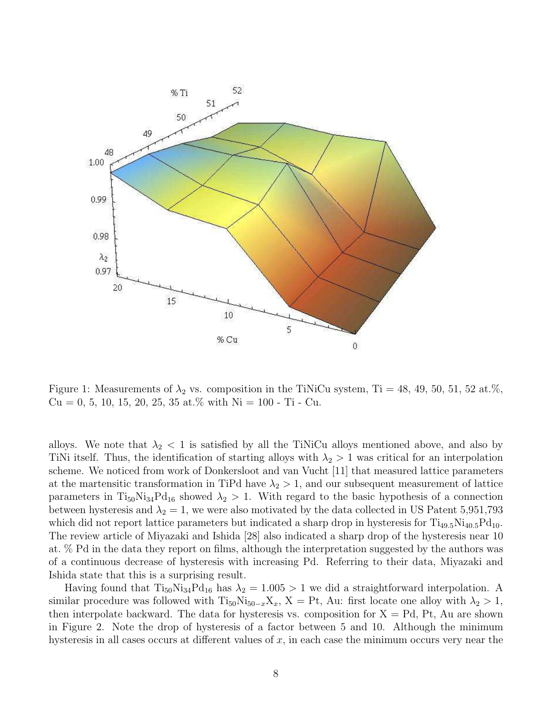

Figure 1: Measurements of  $\lambda_2$  vs. composition in the TiNiCu system, Ti = 48, 49, 50, 51, 52 at.%,  $Cu = 0, 5, 10, 15, 20, 25, 35$  at.% with Ni = 100 - Ti - Cu.

alloys. We note that  $\lambda_2$  < 1 is satisfied by all the TiNiCu alloys mentioned above, and also by TiNi itself. Thus, the identification of starting alloys with  $\lambda_2 > 1$  was critical for an interpolation scheme. We noticed from work of Donkersloot and van Vucht [11] that measured lattice parameters at the martensitic transformation in TiPd have  $\lambda_2 > 1$ , and our subsequent measurement of lattice parameters in Ti<sub>50</sub>Ni<sub>34</sub>Pd<sub>16</sub> showed  $\lambda_2 > 1$ . With regard to the basic hypothesis of a connection between hysteresis and  $\lambda_2 = 1$ , we were also motivated by the data collected in US Patent 5,951,793 which did not report lattice parameters but indicated a sharp drop in hysteresis for  $Ti_{49.5}Ni_{40.5}Pd_{10}$ . The review article of Miyazaki and Ishida [28] also indicated a sharp drop of the hysteresis near 10 at. % Pd in the data they report on films, although the interpretation suggested by the authors was of a continuous decrease of hysteresis with increasing Pd. Referring to their data, Miyazaki and Ishida state that this is a surprising result.

Having found that  $\text{Ti}_{50}\text{Ni}_{34}\text{Pd}_{16}$  has  $\lambda_2 = 1.005 > 1$  we did a straightforward interpolation. A similar procedure was followed with  $\text{Ti}_{50}\text{Ni}_{50-x}\text{X}_x$ ,  $\text{X} = \text{Pt}$ , Au: first locate one alloy with  $\lambda_2 > 1$ , then interpolate backward. The data for hysteresis vs. composition for  $X = Pd$ , Pt, Au are shown in Figure 2. Note the drop of hysteresis of a factor between 5 and 10. Although the minimum hysteresis in all cases occurs at different values of x, in each case the minimum occurs very near the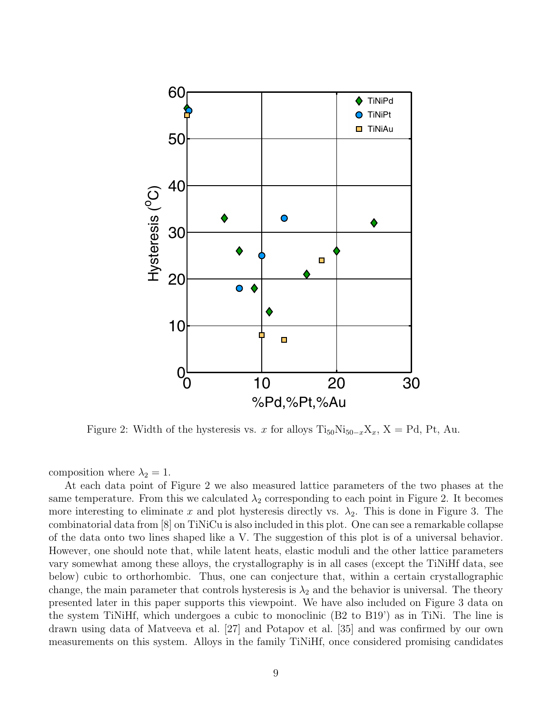

Figure 2: Width of the hysteresis vs. x for alloys  $\text{Ti}_{50}\text{Ni}_{50-x}\text{X}_x$ ,  $\text{X} = \text{Pd}$ ,  $\text{Pt}$ , Au.

composition where  $\lambda_2 = 1$ .

At each data point of Figure 2 we also measured lattice parameters of the two phases at the same temperature. From this we calculated  $\lambda_2$  corresponding to each point in Figure 2. It becomes more interesting to eliminate x and plot hysteresis directly vs.  $\lambda_2$ . This is done in Figure 3. The combinatorial data from [8] on TiNiCu is also included in this plot. One can see a remarkable collapse of the data onto two lines shaped like a V. The suggestion of this plot is of a universal behavior. However, one should note that, while latent heats, elastic moduli and the other lattice parameters vary somewhat among these alloys, the crystallography is in all cases (except the TiNiHf data, see below) cubic to orthorhombic. Thus, one can conjecture that, within a certain crystallographic change, the main parameter that controls hysteresis is  $\lambda_2$  and the behavior is universal. The theory presented later in this paper supports this viewpoint. We have also included on Figure 3 data on the system TiNiHf, which undergoes a cubic to monoclinic (B2 to B19') as in TiNi. The line is drawn using data of Matveeva et al. [27] and Potapov et al. [35] and was confirmed by our own measurements on this system. Alloys in the family TiNiHf, once considered promising candidates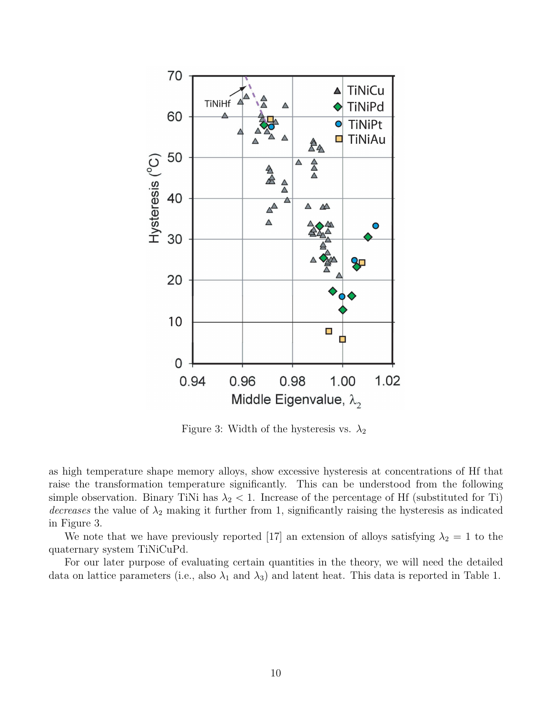

Figure 3: Width of the hysteresis vs.  $\lambda_2$ 

as high temperature shape memory alloys, show excessive hysteresis at concentrations of Hf that raise the transformation temperature significantly. This can be understood from the following simple observation. Binary TiNi has  $\lambda_2$  < 1. Increase of the percentage of Hf (substituted for Ti) decreases the value of  $\lambda_2$  making it further from 1, significantly raising the hysteresis as indicated in Figure 3.

We note that we have previously reported [17] an extension of alloys satisfying  $\lambda_2 = 1$  to the quaternary system TiNiCuPd.

For our later purpose of evaluating certain quantities in the theory, we will need the detailed data on lattice parameters (i.e., also  $\lambda_1$  and  $\lambda_3$ ) and latent heat. This data is reported in Table 1.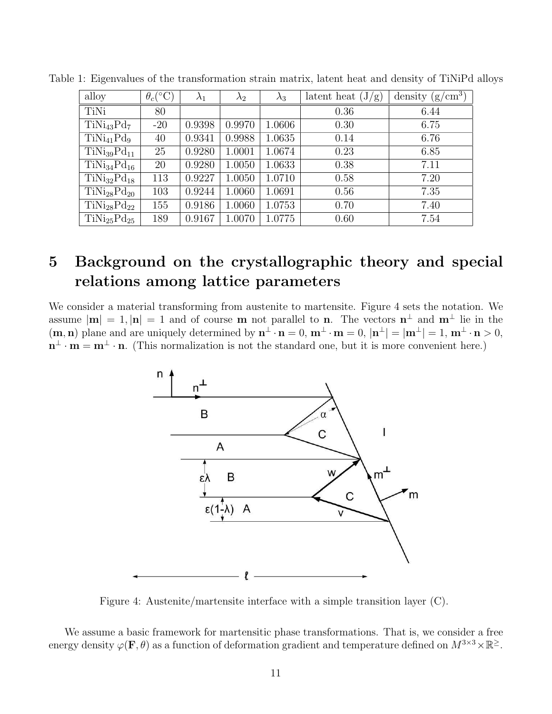| alloy                               | $\theta_c({}^{\circ}C)$ | $\lambda_1$ | $\lambda_2$ | $\lambda_3$ | latent heat $(J/g)$ | $\rm/cm^3)$<br>density<br>$\frac{g}{g}$ |
|-------------------------------------|-------------------------|-------------|-------------|-------------|---------------------|-----------------------------------------|
| TiNi                                | 80                      |             |             |             | 0.36                | 6.44                                    |
| TiNi <sub>43</sub> Pd <sub>7</sub>  | $-20$                   | 0.9398      | 0.9970      | 1.0606      | 0.30                | 6.75                                    |
| TiNi <sub>41</sub> Pd <sub>9</sub>  | 40                      | 0.9341      | 0.9988      | 1.0635      | 0.14                | 6.76                                    |
| TiNi <sub>39</sub> Pd <sub>11</sub> | 25                      | 0.9280      | 1.0001      | 1.0674      | 0.23                | 6.85                                    |
| TiNi <sub>34</sub> Pd <sub>16</sub> | 20                      | 0.9280      | 1.0050      | 1.0633      | 0.38                | 7.11                                    |
| $TiNi_{32}Pd_{18}$                  | 113                     | 0.9227      | 1.0050      | 1.0710      | 0.58                | 7.20                                    |
| TiNi <sub>28</sub> Pd <sub>20</sub> | 103                     | 0.9244      | 1.0060      | 1.0691      | 0.56                | 7.35                                    |
| $TiNi_{28}Pd_{22}$                  | 155                     | 0.9186      | 1.0060      | 1.0753      | 0.70                | 7.40                                    |
| TiNi <sub>25</sub> Pd <sub>25</sub> | 189                     | 0.9167      | 1.0070      | 1.0775      | 0.60                | 7.54                                    |

Table 1: Eigenvalues of the transformation strain matrix, latent heat and density of TiNiPd alloys

# 5 Background on the crystallographic theory and special relations among lattice parameters

We consider a material transforming from austenite to martensite. Figure 4 sets the notation. We assume  $|\mathbf{m}| = 1, |\mathbf{n}| = 1$  and of course **m** not parallel to **n**. The vectors  $\mathbf{n}^{\perp}$  and  $\mathbf{m}^{\perp}$  lie in the  $(\mathbf{m}, \mathbf{n})$  plane and are uniquely determined by  $\mathbf{n}^{\perp} \cdot \mathbf{n} = 0$ ,  $|\mathbf{m}^{\perp}| = \mathbf{m}^{\perp}| = |\mathbf{m}^{\perp}| = 1$ ,  $\mathbf{m}^{\perp} \cdot \mathbf{n} > 0$ ,  $\mathbf{n}^{\perp} \cdot \mathbf{m} = \mathbf{m}^{\perp} \cdot \mathbf{n}$ . (This normalization is not the standard one, but it is more convenient here.)



Figure 4: Austenite/martensite interface with a simple transition layer (C).

We assume a basic framework for martensitic phase transformations. That is, we consider a free energy density  $\varphi(\mathbf{F}, \theta)$  as a function of deformation gradient and temperature defined on  $M^{3\times 3} \times \mathbb{R}^{\ge}$ .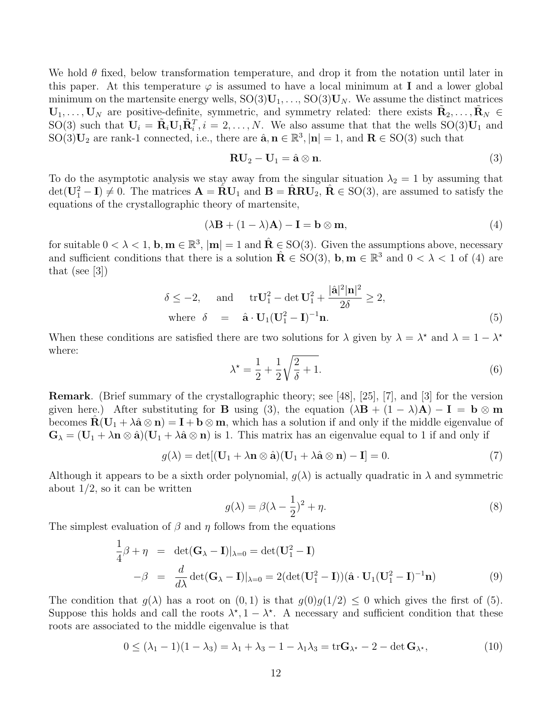We hold  $\theta$  fixed, below transformation temperature, and drop it from the notation until later in this paper. At this temperature  $\varphi$  is assumed to have a local minimum at I and a lower global minimum on the martensite energy wells,  $SO(3)U_1, \ldots, SO(3)U_N$ . We assume the distinct matrices  $\mathbf{U}_1, \ldots, \mathbf{U}_N$  are positive-definite, symmetric, and symmetry related: there exists  $\tilde{\mathbf{R}}_2, \ldots, \tilde{\mathbf{R}}_N \in$ SO(3) such that  $U_i = \tilde{R}_i U_1 \tilde{R}_i^T$ ,  $i = 2, ..., N$ . We also assume that that the wells SO(3) $U_1$  and  $SO(3)U_2$  are rank-1 connected, i.e., there are  $\hat{\mathbf{a}}, \mathbf{n} \in \mathbb{R}^3$ ,  $|\mathbf{n}| = 1$ , and  $\mathbf{R} \in SO(3)$  such that

$$
RU_2 - U_1 = \hat{a} \otimes n. \tag{3}
$$

To do the asymptotic analysis we stay away from the singular situation  $\lambda_2 = 1$  by assuming that  $\det(\mathbf{U}_1^2 - \mathbf{I}) \neq 0$ . The matrices  $\mathbf{A} = \hat{\mathbf{R}} \mathbf{U}_1$  and  $\mathbf{B} = \hat{\mathbf{R}} \mathbf{R} \mathbf{U}_2$ ,  $\hat{\mathbf{R}} \in SO(3)$ , are assumed to satisfy the equations of the crystallographic theory of martensite,

$$
(\lambda \mathbf{B} + (1 - \lambda)\mathbf{A}) - \mathbf{I} = \mathbf{b} \otimes \mathbf{m},\tag{4}
$$

for suitable  $0 < \lambda < 1$ ,  $\mathbf{b}, \mathbf{m} \in \mathbb{R}^3$ ,  $|\mathbf{m}| = 1$  and  $\hat{\mathbf{R}} \in SO(3)$ . Given the assumptions above, necessary and sufficient conditions that there is a solution  $\hat{\mathbf{R}} \in SO(3)$ ,  $\mathbf{b}, \mathbf{m} \in \mathbb{R}^3$  and  $0 < \lambda < 1$  of (4) are that (see  $|3|$ )

$$
\delta \le -2, \quad \text{and} \quad \operatorname{tr} \mathbf{U}_1^2 - \det \mathbf{U}_1^2 + \frac{|\hat{\mathbf{a}}|^2 |\mathbf{n}|^2}{2\delta} \ge 2, \n\text{where } \delta = \hat{\mathbf{a}} \cdot \mathbf{U}_1 (\mathbf{U}_1^2 - \mathbf{I})^{-1} \mathbf{n}.
$$
\n(5)

When these conditions are satisfied there are two solutions for  $\lambda$  given by  $\lambda = \lambda^*$  and  $\lambda = 1 - \lambda^*$ where:

$$
\lambda^* = \frac{1}{2} + \frac{1}{2} \sqrt{\frac{2}{\delta} + 1}.
$$
\n(6)

Remark. (Brief summary of the crystallographic theory; see [48], [25], [7], and [3] for the version given here.) After substituting for **B** using (3), the equation  $(\lambda \mathbf{B} + (1 - \lambda)\mathbf{A}) - \mathbf{I} = \mathbf{b} \otimes \mathbf{m}$ becomes  $\mathbf{R}(\mathbf{U}_1 + \lambda \hat{\mathbf{a}} \otimes \mathbf{n}) = \mathbf{I} + \mathbf{b} \otimes \mathbf{m}$ , which has a solution if and only if the middle eigenvalue of  $\mathbf{G}_{\lambda} = (\mathbf{U}_1 + \lambda \mathbf{n} \otimes \hat{\mathbf{a}})(\mathbf{U}_1 + \lambda \hat{\mathbf{a}} \otimes \mathbf{n})$  is 1. This matrix has an eigenvalue equal to 1 if and only if

$$
g(\lambda) = \det[(\mathbf{U}_1 + \lambda \mathbf{n} \otimes \hat{\mathbf{a}})(\mathbf{U}_1 + \lambda \hat{\mathbf{a}} \otimes \mathbf{n}) - \mathbf{I}] = 0.
$$
 (7)

Although it appears to be a sixth order polynomial,  $g(\lambda)$  is actually quadratic in  $\lambda$  and symmetric about  $1/2$ , so it can be written

$$
g(\lambda) = \beta(\lambda - \frac{1}{2})^2 + \eta.
$$
 (8)

The simplest evaluation of  $\beta$  and  $\eta$  follows from the equations

$$
\frac{1}{4}\beta + \eta = \det(\mathbf{G}_{\lambda} - \mathbf{I})|_{\lambda=0} = \det(\mathbf{U}_{1}^{2} - \mathbf{I})
$$
  
\n
$$
-\beta = \frac{d}{d\lambda} \det(\mathbf{G}_{\lambda} - \mathbf{I})|_{\lambda=0} = 2(\det(\mathbf{U}_{1}^{2} - \mathbf{I})) (\hat{\mathbf{a}} \cdot \mathbf{U}_{1} (\mathbf{U}_{1}^{2} - \mathbf{I})^{-1} \mathbf{n})
$$
\n(9)

The condition that  $g(\lambda)$  has a root on  $(0, 1)$  is that  $g(0)g(1/2) \leq 0$  which gives the first of (5). Suppose this holds and call the roots  $\lambda^*, 1 - \lambda^*$ . A necessary and sufficient condition that these roots are associated to the middle eigenvalue is that

$$
0 \le (\lambda_1 - 1)(1 - \lambda_3) = \lambda_1 + \lambda_3 - 1 - \lambda_1 \lambda_3 = \text{tr} \mathbf{G}_{\lambda^*} - 2 - \det \mathbf{G}_{\lambda^*},
$$
\n(10)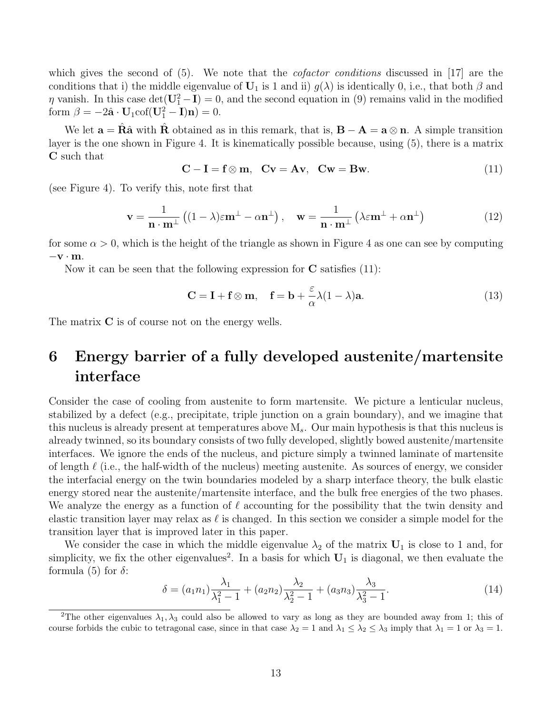which gives the second of  $(5)$ . We note that the *cofactor conditions* discussed in [17] are the conditions that i) the middle eigenvalue of  $\mathbf{U}_1$  is 1 and ii)  $g(\lambda)$  is identically 0, i.e., that both  $\beta$  and  $\eta$  vanish. In this case det $(\mathbf{U}_1^2 - \mathbf{I}) = 0$ , and the second equation in (9) remains valid in the modified form  $\beta = -2\hat{\mathbf{a}} \cdot \mathbf{U}_1 \text{cof}(\mathbf{U}_1^2 - \mathbf{I}) \mathbf{n} = 0.$ 

We let  $\mathbf{a} = \mathbf{R} \hat{\mathbf{a}}$  with  $\mathbf{R}$  obtained as in this remark, that is,  $\mathbf{B} - \mathbf{A} = \mathbf{a} \otimes \mathbf{n}$ . A simple transition layer is the one shown in Figure 4. It is kinematically possible because, using (5), there is a matrix C such that

$$
C - I = f \otimes m, \quad Cv = Av, \quad Cw = Bw. \tag{11}
$$

(see Figure 4). To verify this, note first that

$$
\mathbf{v} = \frac{1}{\mathbf{n} \cdot \mathbf{m}^{\perp}} \left( (1 - \lambda) \varepsilon \mathbf{m}^{\perp} - \alpha \mathbf{n}^{\perp} \right), \quad \mathbf{w} = \frac{1}{\mathbf{n} \cdot \mathbf{m}^{\perp}} \left( \lambda \varepsilon \mathbf{m}^{\perp} + \alpha \mathbf{n}^{\perp} \right) \tag{12}
$$

for some  $\alpha > 0$ , which is the height of the triangle as shown in Figure 4 as one can see by computing  $-v \cdot m$ .

Now it can be seen that the following expression for  $C$  satisfies  $(11)$ :

$$
\mathbf{C} = \mathbf{I} + \mathbf{f} \otimes \mathbf{m}, \quad \mathbf{f} = \mathbf{b} + \frac{\varepsilon}{\alpha} \lambda (1 - \lambda) \mathbf{a}.
$$
 (13)

The matrix **C** is of course not on the energy wells.

## 6 Energy barrier of a fully developed austenite/martensite interface

Consider the case of cooling from austenite to form martensite. We picture a lenticular nucleus, stabilized by a defect (e.g., precipitate, triple junction on a grain boundary), and we imagine that this nucleus is already present at temperatures above  $M_s$ . Our main hypothesis is that this nucleus is already twinned, so its boundary consists of two fully developed, slightly bowed austenite/martensite interfaces. We ignore the ends of the nucleus, and picture simply a twinned laminate of martensite of length  $\ell$  (i.e., the half-width of the nucleus) meeting austenite. As sources of energy, we consider the interfacial energy on the twin boundaries modeled by a sharp interface theory, the bulk elastic energy stored near the austenite/martensite interface, and the bulk free energies of the two phases. We analyze the energy as a function of  $\ell$  accounting for the possibility that the twin density and elastic transition layer may relax as  $\ell$  is changed. In this section we consider a simple model for the transition layer that is improved later in this paper.

We consider the case in which the middle eigenvalue  $\lambda_2$  of the matrix  $U_1$  is close to 1 and, for simplicity, we fix the other eigenvalues<sup>2</sup>. In a basis for which  $U_1$  is diagonal, we then evaluate the formula (5) for  $\delta$ :

$$
\delta = (a_1 n_1) \frac{\lambda_1}{\lambda_1^2 - 1} + (a_2 n_2) \frac{\lambda_2}{\lambda_2^2 - 1} + (a_3 n_3) \frac{\lambda_3}{\lambda_3^2 - 1}.
$$
\n(14)

<sup>&</sup>lt;sup>2</sup>The other eigenvalues  $\lambda_1, \lambda_3$  could also be allowed to vary as long as they are bounded away from 1; this of course forbids the cubic to tetragonal case, since in that case  $\lambda_2 = 1$  and  $\lambda_1 \leq \lambda_2 \leq \lambda_3$  imply that  $\lambda_1 = 1$  or  $\lambda_3 = 1$ .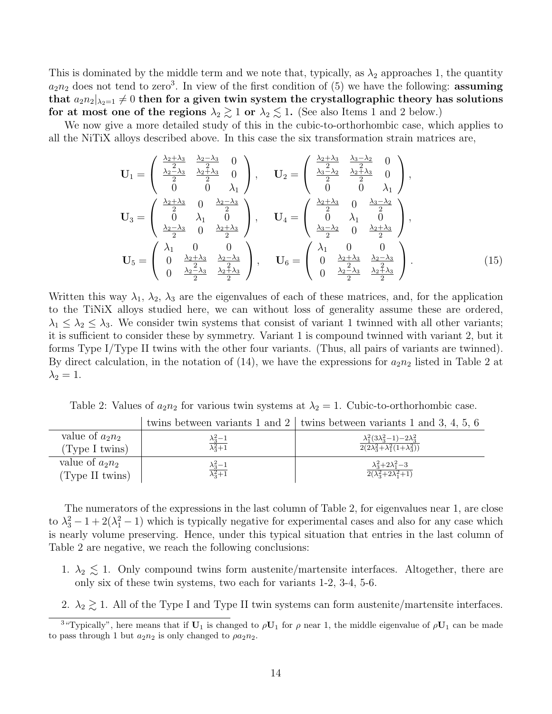This is dominated by the middle term and we note that, typically, as  $\lambda_2$  approaches 1, the quantity  $a_2n_2$  does not tend to zero<sup>3</sup>. In view of the first condition of (5) we have the following: **assuming** that  $a_2n_2|_{\lambda_2=1}\neq 0$  then for a given twin system the crystallographic theory has solutions for at most one of the regions  $\lambda_2 \gtrsim 1$  or  $\lambda_2 \lesssim 1$ . (See also Items 1 and 2 below.)

We now give a more detailed study of this in the cubic-to-orthorhombic case, which applies to all the NiTiX alloys described above. In this case the six transformation strain matrices are,

$$
\mathbf{U}_{1} = \begin{pmatrix} \frac{\lambda_{2} + \lambda_{3}}{2} & \frac{\lambda_{2} - \lambda_{3}}{2} & 0\\ \frac{\lambda_{2} - \lambda_{3}}{2} & \frac{\lambda_{2} + \lambda_{3}}{2} & 0\\ 0 & 0 & \lambda_{1} \end{pmatrix}, \quad \mathbf{U}_{2} = \begin{pmatrix} \frac{\lambda_{2} + \lambda_{3}}{2} & \frac{\lambda_{3} - \lambda_{2}}{2} & 0\\ \frac{\lambda_{3} - \lambda_{2}}{2} & \frac{\lambda_{2} + \lambda_{3}}{2} & 0\\ 0 & 0 & \lambda_{1} \end{pmatrix},
$$

$$
\mathbf{U}_{3} = \begin{pmatrix} \frac{\lambda_{2} + \lambda_{3}}{2} & 0 & \frac{\lambda_{2} - \lambda_{3}}{2} \\ 0 & \lambda_{1} & 0 \\ \frac{\lambda_{2} - \lambda_{3}}{2} & 0 & \frac{\lambda_{2} + \lambda_{3}}{2} \end{pmatrix}, \quad \mathbf{U}_{4} = \begin{pmatrix} \frac{\lambda_{2} + \lambda_{3}}{2} & 0 & \frac{\lambda_{3} - \lambda_{2}}{2} \\ 0 & \lambda_{1} & 0 \\ \frac{\lambda_{3} - \lambda_{2}}{2} & 0 & \frac{\lambda_{2} + \lambda_{3}}{2} \end{pmatrix},
$$

$$
\mathbf{U}_{5} = \begin{pmatrix} \lambda_{1} & 0 & 0 \\ 0 & \frac{\lambda_{2} + \lambda_{3}}{2} & \frac{\lambda_{2} - \lambda_{3}}{2} \\ 0 & \frac{\lambda_{2} + \lambda_{3}}{2} & \frac{\lambda_{2} - \lambda_{3}}{2} \end{pmatrix}, \quad \mathbf{U}_{6} = \begin{pmatrix} \lambda_{1} & 0 & 0 \\ 0 & \frac{\lambda_{2} + \lambda_{3}}{2} & \frac{\lambda_{2} - \lambda_{3}}{2} \\ 0 & \frac{\lambda_{2} - \lambda_{3}}{2} & \frac{\lambda_{2} + \lambda_{3}}{2} \end{pmatrix}.
$$
(15)

Written this way  $\lambda_1$ ,  $\lambda_2$ ,  $\lambda_3$  are the eigenvalues of each of these matrices, and, for the application to the TiNiX alloys studied here, we can without loss of generality assume these are ordered,  $\lambda_1 \leq \lambda_2 \leq \lambda_3$ . We consider twin systems that consist of variant 1 twinned with all other variants; it is sufficient to consider these by symmetry. Variant 1 is compound twinned with variant 2, but it forms Type I/Type II twins with the other four variants. (Thus, all pairs of variants are twinned). By direct calculation, in the notation of  $(14)$ , we have the expressions for  $a_2n_2$  listed in Table 2 at  $\lambda_2=1.$ 

Table 2: Values of  $a_2n_2$  for various twin systems at  $\lambda_2 = 1$ . Cubic-to-orthorhombic case.

| value of $a_2n_2$ |                                       | $\lambda_1^2(3\lambda_3^2-1)-2\lambda_3^2$                                 |
|-------------------|---------------------------------------|----------------------------------------------------------------------------|
| (Type I twins)    | $\frac{\lambda_3^2-1}{\lambda_3^2+1}$ | $\frac{1}{2(2\lambda_3^2+\lambda_1^2(1+\lambda_3^2))}$                     |
| value of $a_2n_2$ |                                       |                                                                            |
| (Type II twins)   | $\frac{\lambda_3^2-1}{\lambda_3^2+1}$ | $\frac{\lambda_3^2 + 2\lambda_1^2 - 3}{2(\lambda_3^2 + 2\lambda_1^2 + 1)}$ |

twins between variants 1 and 2 twins between variants 1 and 3, 4, 5, 6

The numerators of the expressions in the last column of Table 2, for eigenvalues near 1, are close to  $\lambda_3^2 - 1 + 2(\lambda_1^2 - 1)$  which is typically negative for experimental cases and also for any case which is nearly volume preserving. Hence, under this typical situation that entries in the last column of Table 2 are negative, we reach the following conclusions:

- 1.  $\lambda_2 \leq 1$ . Only compound twins form austenite/martensite interfaces. Altogether, there are only six of these twin systems, two each for variants 1-2, 3-4, 5-6.
- 2.  $\lambda_2 \gtrsim 1$ . All of the Type I and Type II twin systems can form austenite/martensite interfaces.

<sup>&</sup>lt;sup>3</sup>"Typically", here means that if  $U_1$  is changed to  $\rho U_1$  for  $\rho$  near 1, the middle eigenvalue of  $\rho U_1$  can be made to pass through 1 but  $a_2n_2$  is only changed to  $\rho a_2n_2$ .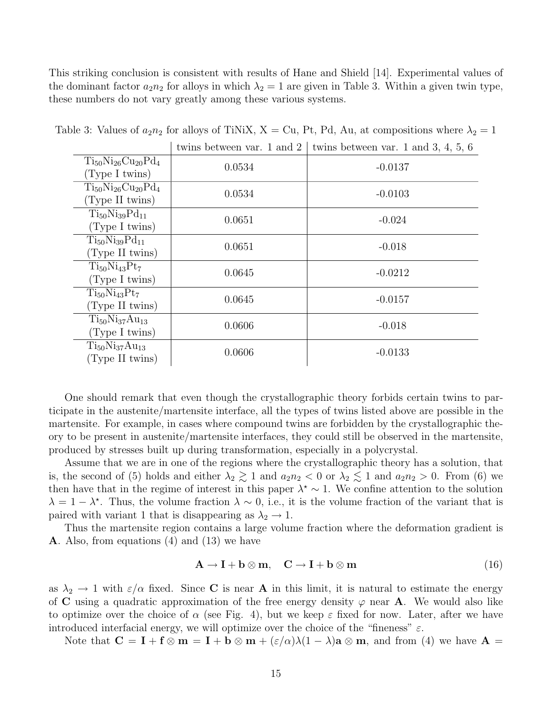This striking conclusion is consistent with results of Hane and Shield [14]. Experimental values of the dominant factor  $a_2n_2$  for alloys in which  $\lambda_2 = 1$  are given in Table 3. Within a given twin type, these numbers do not vary greatly among these various systems.

|                                                | twins between var. 1 and 2 | twins between var. 1 and 3, 4, 5, 6 |
|------------------------------------------------|----------------------------|-------------------------------------|
| $Ti_{50}Ni_{26}Cu_{20}Pd_4$<br>(Type I twins)  | 0.0534                     | $-0.0137$                           |
| $Ti_{50}Ni_{26}Cu_{20}Pd_4$<br>(Type II twins) | 0.0534                     | $-0.0103$                           |
| $Ti_{50}Ni_{39}Pd_{11}$<br>(Type I twins)      | 0.0651                     | $-0.024$                            |
| $Ti_{50}Ni_{39}Pd_{11}$<br>(Type II twins)     | 0.0651                     | $-0.018$                            |
| $Ti_{50}Ni_{43}Pt_{7}$<br>(Type I twins)       | 0.0645                     | $-0.0212$                           |
| $Ti50Ni43Pt7$<br>(Type II twins)               | 0.0645                     | $-0.0157$                           |
| $Ti_{50}Ni_{37}Au_{13}$<br>(Type I twins)      | 0.0606                     | $-0.018$                            |
| $Ti_{50}Ni_{37}Au_{13}$<br>(Type II twins)     | 0.0606                     | $-0.0133$                           |

Table 3: Values of  $a_2n_2$  for alloys of TiNiX,  $X = Cu$ , Pt, Pd, Au, at compositions where  $\lambda_2 = 1$ 

One should remark that even though the crystallographic theory forbids certain twins to participate in the austenite/martensite interface, all the types of twins listed above are possible in the martensite. For example, in cases where compound twins are forbidden by the crystallographic theory to be present in austenite/martensite interfaces, they could still be observed in the martensite, produced by stresses built up during transformation, especially in a polycrystal.

Assume that we are in one of the regions where the crystallographic theory has a solution, that is, the second of (5) holds and either  $\lambda_2 \gtrsim 1$  and  $a_2 n_2 < 0$  or  $\lambda_2 \lesssim 1$  and  $a_2 n_2 > 0$ . From (6) we then have that in the regime of interest in this paper  $\lambda^* \sim 1$ . We confine attention to the solution  $\lambda = 1 - \lambda^*$ . Thus, the volume fraction  $\lambda \sim 0$ , i.e., it is the volume fraction of the variant that is paired with variant 1 that is disappearing as  $\lambda_2 \rightarrow 1$ .

Thus the martensite region contains a large volume fraction where the deformation gradient is A. Also, from equations (4) and (13) we have

$$
\mathbf{A} \to \mathbf{I} + \mathbf{b} \otimes \mathbf{m}, \quad \mathbf{C} \to \mathbf{I} + \mathbf{b} \otimes \mathbf{m} \tag{16}
$$

as  $\lambda_2 \to 1$  with  $\varepsilon/\alpha$  fixed. Since **C** is near **A** in this limit, it is natural to estimate the energy of C using a quadratic approximation of the free energy density  $\varphi$  near A. We would also like to optimize over the choice of  $\alpha$  (see Fig. 4), but we keep  $\varepsilon$  fixed for now. Later, after we have introduced interfacial energy, we will optimize over the choice of the "fineness"  $\varepsilon$ .

Note that  $C = I + f \otimes m = I + b \otimes m + (\varepsilon/\alpha)\lambda(1-\lambda)a \otimes m$ , and from (4) we have  $A =$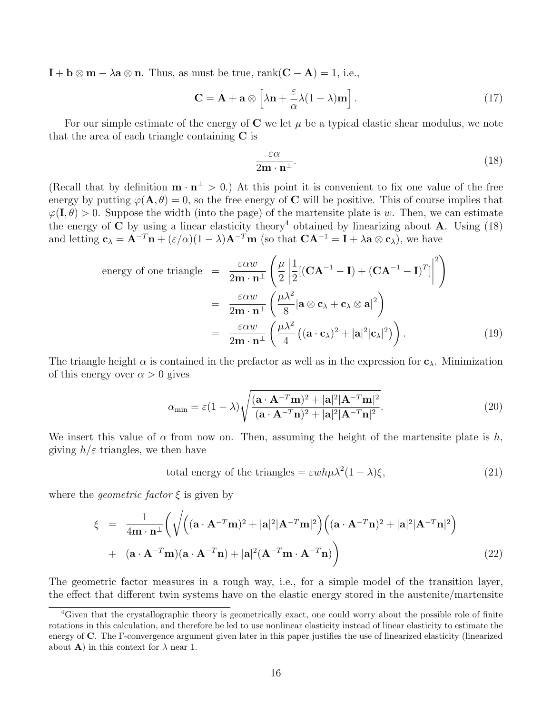$\mathbf{I} + \mathbf{b} \otimes \mathbf{m} - \lambda \mathbf{a} \otimes \mathbf{n}$ . Thus, as must be true, rank $(\mathbf{C} - \mathbf{A}) = 1$ , i.e.,

$$
\mathbf{C} = \mathbf{A} + \mathbf{a} \otimes \left[ \lambda \mathbf{n} + \frac{\varepsilon}{\alpha} \lambda (1 - \lambda) \mathbf{m} \right]. \tag{17}
$$

For our simple estimate of the energy of  $C$  we let  $\mu$  be a typical elastic shear modulus, we note that the area of each triangle containing C is

$$
\frac{\varepsilon \alpha}{2\mathbf{m} \cdot \mathbf{n}^{\perp}}.
$$
 (18)

(Recall that by definition  $\mathbf{m} \cdot \mathbf{n}^{\perp} > 0$ .) At this point it is convenient to fix one value of the free energy by putting  $\varphi(\mathbf{A}, \theta) = 0$ , so the free energy of **C** will be positive. This of course implies that  $\varphi(\mathbf{I}, \theta) > 0$ . Suppose the width (into the page) of the martensite plate is w. Then, we can estimate the energy of C by using a linear elasticity theory<sup>4</sup> obtained by linearizing about A. Using (18) and letting  $c_{\lambda} = A^{-T}n + (\varepsilon/\alpha)(1-\lambda)A^{-T}m$  (so that  $CA^{-1} = I + \lambda a \otimes c_{\lambda}$ ), we have

energy of one triangle 
$$
= \frac{\varepsilon \alpha w}{2m \cdot n^{\perp}} \left( \frac{\mu}{2} \left| \frac{1}{2} [(\mathbf{C} \mathbf{A}^{-1} - \mathbf{I}) + (\mathbf{C} \mathbf{A}^{-1} - \mathbf{I})^T] \right|^2 \right)
$$

$$
= \frac{\varepsilon \alpha w}{2m \cdot n^{\perp}} \left( \frac{\mu \lambda^2}{8} |\mathbf{a} \otimes \mathbf{c}_{\lambda} + \mathbf{c}_{\lambda} \otimes \mathbf{a}|^2 \right)
$$

$$
= \frac{\varepsilon \alpha w}{2m \cdot n^{\perp}} \left( \frac{\mu \lambda^2}{4} \left( (\mathbf{a} \cdot \mathbf{c}_{\lambda})^2 + |\mathbf{a}|^2 |\mathbf{c}_{\lambda}|^2 \right) \right).
$$
(19)

The triangle height  $\alpha$  is contained in the prefactor as well as in the expression for  $c_{\lambda}$ . Minimization of this energy over  $\alpha > 0$  gives

$$
\alpha_{\min} = \varepsilon (1 - \lambda) \sqrt{\frac{(\mathbf{a} \cdot \mathbf{A}^{-T} \mathbf{m})^2 + |\mathbf{a}|^2 |\mathbf{A}^{-T} \mathbf{m}|^2}{(\mathbf{a} \cdot \mathbf{A}^{-T} \mathbf{n})^2 + |\mathbf{a}|^2 |\mathbf{A}^{-T} \mathbf{n}|^2}}.
$$
(20)

We insert this value of  $\alpha$  from now on. Then, assuming the height of the martensite plate is h, giving  $h/\varepsilon$  triangles, we then have

total energy of the triangles 
$$
= \varepsilon w h \mu \lambda^2 (1 - \lambda) \xi,
$$
 (21)

where the *geometric factor*  $\xi$  is given by

$$
\xi = \frac{1}{4\mathbf{m} \cdot \mathbf{n}^{\perp}} \left( \sqrt{\left( (\mathbf{a} \cdot \mathbf{A}^{-T} \mathbf{m})^2 + |\mathbf{a}|^2 |\mathbf{A}^{-T} \mathbf{m}|^2 \right) \left( (\mathbf{a} \cdot \mathbf{A}^{-T} \mathbf{n})^2 + |\mathbf{a}|^2 |\mathbf{A}^{-T} \mathbf{n}|^2 \right)} + (\mathbf{a} \cdot \mathbf{A}^{-T} \mathbf{m})(\mathbf{a} \cdot \mathbf{A}^{-T} \mathbf{n}) + |\mathbf{a}|^2 (\mathbf{A}^{-T} \mathbf{m} \cdot \mathbf{A}^{-T} \mathbf{n}) \right)
$$
(22)

The geometric factor measures in a rough way, i.e., for a simple model of the transition layer, the effect that different twin systems have on the elastic energy stored in the austenite/martensite

<sup>&</sup>lt;sup>4</sup>Given that the crystallographic theory is geometrically exact, one could worry about the possible role of finite rotations in this calculation, and therefore be led to use nonlinear elasticity instead of linear elasticity to estimate the energy of C. The Γ-convergence argument given later in this paper justifies the use of linearized elasticity (linearized about **A**) in this context for  $\lambda$  near 1.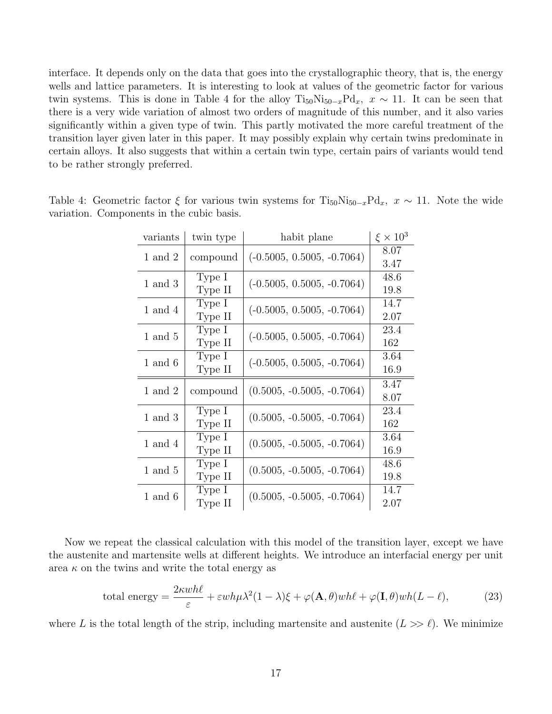interface. It depends only on the data that goes into the crystallographic theory, that is, the energy wells and lattice parameters. It is interesting to look at values of the geometric factor for various twin systems. This is done in Table 4 for the alloy  $Ti_{50}Ni_{50-x}Pd_x$ ,  $x \sim 11$ . It can be seen that there is a very wide variation of almost two orders of magnitude of this number, and it also varies significantly within a given type of twin. This partly motivated the more careful treatment of the transition layer given later in this paper. It may possibly explain why certain twins predominate in certain alloys. It also suggests that within a certain twin type, certain pairs of variants would tend to be rather strongly preferred.

| variants    | twin type         | habit plane                  | $\xi \times 10^3$ |
|-------------|-------------------|------------------------------|-------------------|
| 1 and 2     | compound          | $(-0.5005, 0.5005, -0.7064)$ | 8.07<br>3.47      |
| 1 and 3     | Type I<br>Type II | $(-0.5005, 0.5005, -0.7064)$ | 48.6<br>19.8      |
| $1$ and $4$ | Type I<br>Type II | $(-0.5005, 0.5005, -0.7064)$ | 14.7<br>2.07      |
| $1$ and $5$ | Type I<br>Type II | $(-0.5005, 0.5005, -0.7064)$ | 23.4<br>162       |
| $1$ and $6$ | Type I<br>Type II | $(-0.5005, 0.5005, -0.7064)$ | 3.64<br>16.9      |
| $1$ and $2$ | compound          | $(0.5005, -0.5005, -0.7064)$ | 3.47<br>8.07      |
| 1 and 3     | Type I<br>Type II | $(0.5005, -0.5005, -0.7064)$ | 23.4<br>162       |
| $1$ and $4$ | Type I<br>Type II | $(0.5005, -0.5005, -0.7064)$ | 3.64<br>16.9      |
| $1$ and $5$ | Type I<br>Type II | $(0.5005, -0.5005, -0.7064)$ | 48.6<br>19.8      |
| $1$ and $6$ | Type I<br>Type II | $(0.5005, -0.5005, -0.7064)$ | 14.7<br>2.07      |

Table 4: Geometric factor  $\xi$  for various twin systems for Ti<sub>50</sub>Ni<sub>50−x</sub>Pd<sub>x</sub>,  $x \sim 11$ . Note the wide variation. Components in the cubic basis.

Now we repeat the classical calculation with this model of the transition layer, except we have the austenite and martensite wells at different heights. We introduce an interfacial energy per unit area  $\kappa$  on the twins and write the total energy as

total energy = 
$$
\frac{2\kappa wh\ell}{\varepsilon} + \varepsilon wh\mu\lambda^2 (1-\lambda)\xi + \varphi(\mathbf{A},\theta)wh\ell + \varphi(\mathbf{I},\theta)wh(L-\ell),
$$
 (23)

where L is the total length of the strip, including martensite and austenite  $(L \gg \ell)$ . We minimize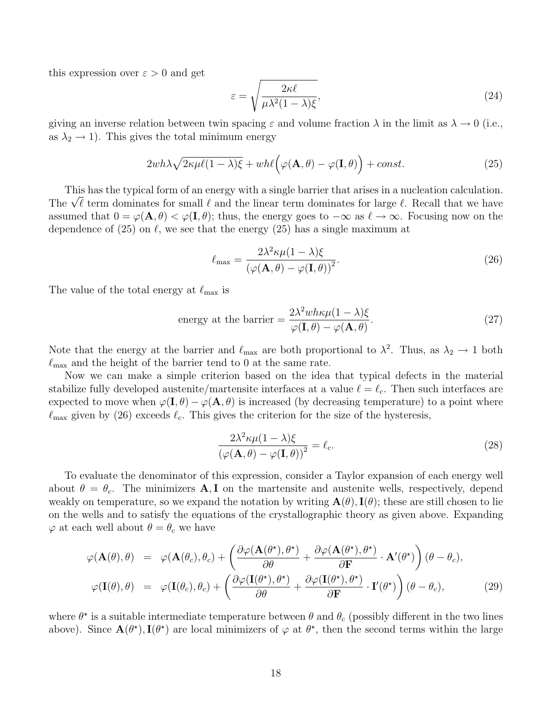this expression over  $\varepsilon > 0$  and get

$$
\varepsilon = \sqrt{\frac{2\kappa\ell}{\mu\lambda^2(1-\lambda)\xi}},\tag{24}
$$

giving an inverse relation between twin spacing  $\varepsilon$  and volume fraction  $\lambda$  in the limit as  $\lambda \to 0$  (i.e., as  $\lambda_2 \rightarrow 1$ ). This gives the total minimum energy

$$
2wh\lambda\sqrt{2\kappa\mu\ell(1-\lambda)\xi} + wh\ell\left(\varphi(\mathbf{A},\theta) - \varphi(\mathbf{I},\theta)\right) + const.
$$
\n(25)

This has the typical form of an energy with a single barrier that arises in a nucleation calculation. The  $\sqrt{\ell}$  term dominates for small  $\ell$  and the linear term dominates for large  $\ell$ . Recall that we have assumed that  $0 = \varphi(\mathbf{A}, \theta) < \varphi(\mathbf{I}, \theta)$ ; thus, the energy goes to  $-\infty$  as  $\ell \to \infty$ . Focusing now on the dependence of (25) on  $\ell$ , we see that the energy (25) has a single maximum at

$$
\ell_{\max} = \frac{2\lambda^2 \kappa \mu (1 - \lambda)\xi}{\left(\varphi(\mathbf{A}, \theta) - \varphi(\mathbf{I}, \theta)\right)^2}.
$$
\n(26)

The value of the total energy at  $\ell_{\text{max}}$  is

energy at the barrier = 
$$
\frac{2\lambda^2 w h \kappa \mu (1 - \lambda) \xi}{\varphi(\mathbf{I}, \theta) - \varphi(\mathbf{A}, \theta)}.
$$
 (27)

Note that the energy at the barrier and  $\ell_{\text{max}}$  are both proportional to  $\lambda^2$ . Thus, as  $\lambda_2 \to 1$  both  $\ell_{\text{max}}$  and the height of the barrier tend to 0 at the same rate.

Now we can make a simple criterion based on the idea that typical defects in the material stabilize fully developed austenite/martensite interfaces at a value  $\ell = \ell_c$ . Then such interfaces are expected to move when  $\varphi(\mathbf{I}, \theta) - \varphi(\mathbf{A}, \theta)$  is increased (by decreasing temperature) to a point where  $\ell_{\rm max}$  given by (26) exceeds  $\ell_c$ . This gives the criterion for the size of the hysteresis,

$$
\frac{2\lambda^2\kappa\mu(1-\lambda)\xi}{\left(\varphi(\mathbf{A},\theta)-\varphi(\mathbf{I},\theta)\right)^2}=\ell_c.
$$
\n(28)

To evaluate the denominator of this expression, consider a Taylor expansion of each energy well about  $\theta = \theta_c$ . The minimizers **A**, **I** on the martensite and austenite wells, respectively, depend weakly on temperature, so we expand the notation by writing  $\mathbf{A}(\theta)$ ,  $\mathbf{I}(\theta)$ ; these are still chosen to lie on the wells and to satisfy the equations of the crystallographic theory as given above. Expanding  $\varphi$  at each well about  $\theta = \theta_c$  we have

$$
\varphi(\mathbf{A}(\theta),\theta) = \varphi(\mathbf{A}(\theta_c),\theta_c) + \left(\frac{\partial \varphi(\mathbf{A}(\theta^*),\theta^*)}{\partial \theta} + \frac{\partial \varphi(\mathbf{A}(\theta^*),\theta^*)}{\partial \mathbf{F}} \cdot \mathbf{A}'(\theta^*)\right)(\theta - \theta_c),
$$
  

$$
\varphi(\mathbf{I}(\theta),\theta) = \varphi(\mathbf{I}(\theta_c),\theta_c) + \left(\frac{\partial \varphi(\mathbf{I}(\theta^*),\theta^*)}{\partial \theta} + \frac{\partial \varphi(\mathbf{I}(\theta^*),\theta^*)}{\partial \mathbf{F}} \cdot \mathbf{I}'(\theta^*)\right)(\theta - \theta_c),
$$
 (29)

where  $\theta^*$  is a suitable intermediate temperature between  $\theta$  and  $\theta_c$  (possibly different in the two lines above). Since  $\mathbf{A}(\theta^{\star}), \mathbf{I}(\theta^{\star})$  are local minimizers of  $\varphi$  at  $\theta^{\star}$ , then the second terms within the large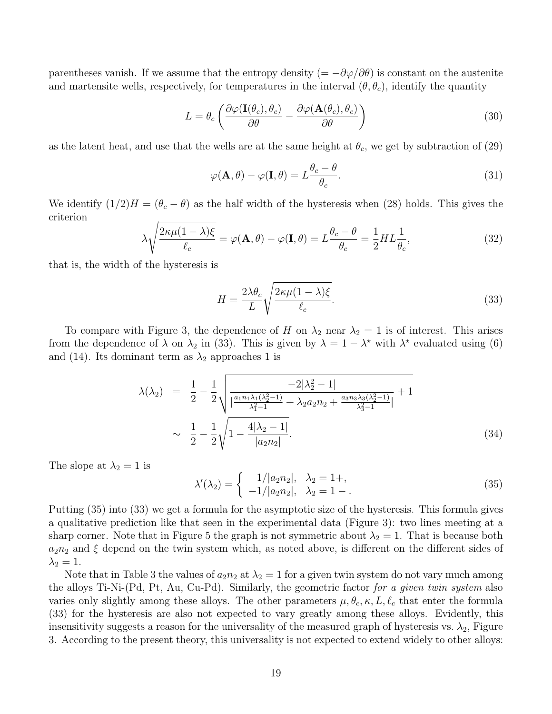parentheses vanish. If we assume that the entropy density ( $=-\partial\varphi/\partial\theta$ ) is constant on the austenite and martensite wells, respectively, for temperatures in the interval  $(\theta, \theta_c)$ , identify the quantity

$$
L = \theta_c \left( \frac{\partial \varphi(\mathbf{I}(\theta_c), \theta_c)}{\partial \theta} - \frac{\partial \varphi(\mathbf{A}(\theta_c), \theta_c)}{\partial \theta} \right)
$$
(30)

as the latent heat, and use that the wells are at the same height at  $\theta_c$ , we get by subtraction of (29)

$$
\varphi(\mathbf{A}, \theta) - \varphi(\mathbf{I}, \theta) = L \frac{\theta_c - \theta}{\theta_c}.
$$
\n(31)

We identify  $(1/2)H = (\theta_c - \theta)$  as the half width of the hysteresis when (28) holds. This gives the criterion

$$
\lambda \sqrt{\frac{2\kappa \mu (1 - \lambda)\xi}{\ell_c}} = \varphi(\mathbf{A}, \theta) - \varphi(\mathbf{I}, \theta) = L \frac{\theta_c - \theta}{\theta_c} = \frac{1}{2} H L \frac{1}{\theta_c},\tag{32}
$$

that is, the width of the hysteresis is

$$
H = \frac{2\lambda\theta_c}{L} \sqrt{\frac{2\kappa\mu(1-\lambda)\xi}{\ell_c}}.
$$
\n(33)

To compare with Figure 3, the dependence of H on  $\lambda_2$  near  $\lambda_2 = 1$  is of interest. This arises from the dependence of  $\lambda$  on  $\lambda_2$  in (33). This is given by  $\lambda = 1 - \lambda^*$  with  $\lambda^*$  evaluated using (6) and (14). Its dominant term as  $\lambda_2$  approaches 1 is

$$
\lambda(\lambda_2) = \frac{1}{2} - \frac{1}{2} \sqrt{\frac{-2|\lambda_2^2 - 1|}{\left|\frac{a_1 n_1 \lambda_1 (\lambda_2^2 - 1)}{\lambda_1^2 - 1} + \lambda_2 a_2 n_2 + \frac{a_3 n_3 \lambda_3 (\lambda_2^2 - 1)}{\lambda_3^2 - 1}\right|}} + 1
$$
\n
$$
\sim \frac{1}{2} - \frac{1}{2} \sqrt{1 - \frac{4|\lambda_2 - 1|}{|a_2 n_2|}}.
$$
\n(34)

The slope at  $\lambda_2 = 1$  is

$$
\lambda'(\lambda_2) = \begin{cases} 1/|a_2 n_2|, & \lambda_2 = 1+, \\ -1/|a_2 n_2|, & \lambda_2 = 1-. \end{cases}
$$
 (35)

Putting (35) into (33) we get a formula for the asymptotic size of the hysteresis. This formula gives a qualitative prediction like that seen in the experimental data (Figure 3): two lines meeting at a sharp corner. Note that in Figure 5 the graph is not symmetric about  $\lambda_2 = 1$ . That is because both  $a_2n_2$  and  $\xi$  depend on the twin system which, as noted above, is different on the different sides of  $\lambda_2 = 1$ .

Note that in Table 3 the values of  $a_2n_2$  at  $\lambda_2 = 1$  for a given twin system do not vary much among the alloys Ti-Ni-(Pd, Pt, Au, Cu-Pd). Similarly, the geometric factor for a given twin system also varies only slightly among these alloys. The other parameters  $\mu, \theta_c, \kappa, L, \ell_c$  that enter the formula (33) for the hysteresis are also not expected to vary greatly among these alloys. Evidently, this insensitivity suggests a reason for the universality of the measured graph of hysteresis vs.  $\lambda_2$ , Figure 3. According to the present theory, this universality is not expected to extend widely to other alloys: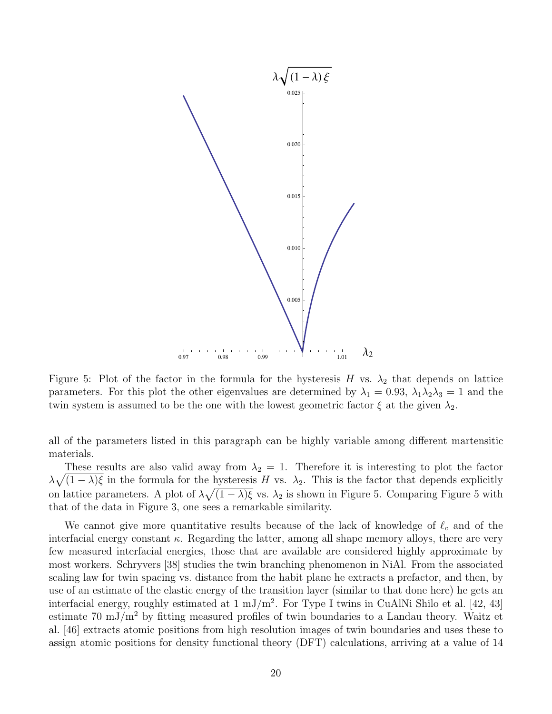

Figure 5: Plot of the factor in the formula for the hysteresis H vs.  $\lambda_2$  that depends on lattice parameters. For this plot the other eigenvalues are determined by  $\lambda_1 = 0.93$ ,  $\lambda_1 \lambda_2 \lambda_3 = 1$  and the twin system is assumed to be the one with the lowest geometric factor  $\xi$  at the given  $\lambda_2$ .

all of the parameters listed in this paragraph can be highly variable among different martensitic materials.

These results are also valid away from  $\lambda_2 = 1$ . Therefore it is interesting to plot the factor  $\lambda \sqrt{(1-\lambda)\xi}$  in the formula for the hysteresis H vs.  $\lambda_2$ . This is the factor that depends explicitly on lattice parameters. A plot of  $\lambda \sqrt{(1-\lambda)\xi}$  vs.  $\lambda_2$  is shown in Figure 5. Comparing Figure 5 with that of the data in Figure 3, one sees a remarkable similarity.

We cannot give more quantitative results because of the lack of knowledge of  $\ell_c$  and of the interfacial energy constant  $\kappa$ . Regarding the latter, among all shape memory alloys, there are very few measured interfacial energies, those that are available are considered highly approximate by most workers. Schryvers [38] studies the twin branching phenomenon in NiAl. From the associated scaling law for twin spacing vs. distance from the habit plane he extracts a prefactor, and then, by use of an estimate of the elastic energy of the transition layer (similar to that done here) he gets an interfacial energy, roughly estimated at  $1 \text{ mJ/m}^2$ . For Type I twins in CuAlNi Shilo et al. [42, 43] estimate 70 mJ/m<sup>2</sup> by fitting measured profiles of twin boundaries to a Landau theory. Waitz et al. [46] extracts atomic positions from high resolution images of twin boundaries and uses these to assign atomic positions for density functional theory (DFT) calculations, arriving at a value of 14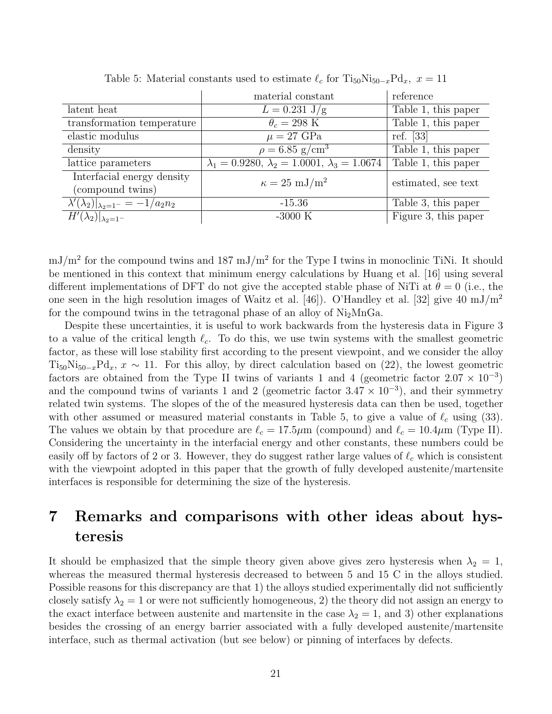|                                                  | material constant                                            | reference            |
|--------------------------------------------------|--------------------------------------------------------------|----------------------|
| latent heat                                      | $L = 0.231 \text{ J/g}$                                      | Table 1, this paper  |
| transformation temperature                       | $\theta_c = 298$ K                                           | Table 1, this paper  |
| $elastic$ modulus                                | $\mu = 27 \text{ GPa}$                                       | ref. [33]            |
| density                                          | $\rho = 6.85$ g/cm <sup>3</sup>                              | Table 1, this paper  |
| lattice parameters                               | $\lambda_1 = 0.9280, \lambda_2 = 1.0001, \lambda_3 = 1.0674$ | Table 1, this paper  |
| Interfacial energy density                       | $\kappa = 25$ mJ/m <sup>2</sup>                              | estimated, see text  |
| (compound twins)                                 |                                                              |                      |
| $\lambda'(\lambda_2) _{\lambda_2=1^-}=-1/a_2n_2$ | $-15.36$                                                     | Table 3, this paper  |
| $H'(\lambda_2) _{\lambda_2=1^-}$                 | $-3000$ K                                                    | Figure 3, this paper |

Table 5: Material constants used to estimate  $\ell_c$  for  $\text{Ti}_{50}\text{Ni}_{50-x}\text{Pd}_x$ ,  $x = 11$ 

 $mJ/m<sup>2</sup>$  for the compound twins and 187 mJ/m<sup>2</sup> for the Type I twins in monoclinic TiNi. It should be mentioned in this context that minimum energy calculations by Huang et al. [16] using several different implementations of DFT do not give the accepted stable phase of NiTi at  $\theta = 0$  (i.e., the one seen in the high resolution images of Waitz et al. [46]). O'Handley et al. [32] give 40 mJ/m<sup>2</sup> for the compound twins in the tetragonal phase of an alloy of  $Ni<sub>2</sub>MnGa$ .

Despite these uncertainties, it is useful to work backwards from the hysteresis data in Figure 3 to a value of the critical length  $\ell_c$ . To do this, we use twin systems with the smallest geometric factor, as these will lose stability first according to the present viewpoint, and we consider the alloy  $Ti_{50}Ni_{50-x}Pd_x$ ,  $x \sim 11$ . For this alloy, by direct calculation based on (22), the lowest geometric factors are obtained from the Type II twins of variants 1 and 4 (geometric factor  $2.07 \times 10^{-3}$ ) and the compound twins of variants 1 and 2 (geometric factor  $3.47 \times 10^{-3}$ ), and their symmetry related twin systems. The slopes of the of the measured hysteresis data can then be used, together with other assumed or measured material constants in Table 5, to give a value of  $\ell_c$  using (33). The values we obtain by that procedure are  $\ell_c = 17.5 \mu m$  (compound) and  $\ell_c = 10.4 \mu m$  (Type II). Considering the uncertainty in the interfacial energy and other constants, these numbers could be easily off by factors of 2 or 3. However, they do suggest rather large values of  $\ell_c$  which is consistent with the viewpoint adopted in this paper that the growth of fully developed austenite/martensite interfaces is responsible for determining the size of the hysteresis.

# 7 Remarks and comparisons with other ideas about hysteresis

It should be emphasized that the simple theory given above gives zero hysteresis when  $\lambda_2 = 1$ , whereas the measured thermal hysteresis decreased to between 5 and 15 C in the alloys studied. Possible reasons for this discrepancy are that 1) the alloys studied experimentally did not sufficiently closely satisfy  $\lambda_2 = 1$  or were not sufficiently homogeneous, 2) the theory did not assign an energy to the exact interface between austenite and martensite in the case  $\lambda_2 = 1$ , and 3) other explanations besides the crossing of an energy barrier associated with a fully developed austenite/martensite interface, such as thermal activation (but see below) or pinning of interfaces by defects.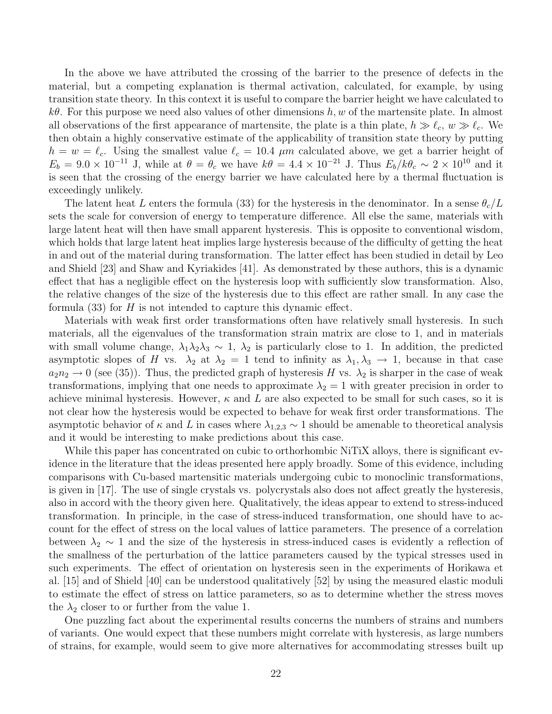In the above we have attributed the crossing of the barrier to the presence of defects in the material, but a competing explanation is thermal activation, calculated, for example, by using transition state theory. In this context it is useful to compare the barrier height we have calculated to  $k\theta$ . For this purpose we need also values of other dimensions h, w of the martensite plate. In almost all observations of the first appearance of martensite, the plate is a thin plate,  $h \gg \ell_c$ ,  $w \gg \ell_c$ . We then obtain a highly conservative estimate of the applicability of transition state theory by putting  $h = w = \ell_c$ . Using the smallest value  $\ell_c = 10.4 \ \mu m$  calculated above, we get a barrier height of  $E_b = 9.0 \times 10^{-11}$  J, while at  $\theta = \theta_c$  we have  $k\theta = 4.4 \times 10^{-21}$  J. Thus  $E_b/k\theta_c \sim 2 \times 10^{10}$  and it is seen that the crossing of the energy barrier we have calculated here by a thermal fluctuation is exceedingly unlikely.

The latent heat L enters the formula (33) for the hysteresis in the denominator. In a sense  $\theta_c/L$ sets the scale for conversion of energy to temperature difference. All else the same, materials with large latent heat will then have small apparent hysteresis. This is opposite to conventional wisdom, which holds that large latent heat implies large hysteresis because of the difficulty of getting the heat in and out of the material during transformation. The latter effect has been studied in detail by Leo and Shield [23] and Shaw and Kyriakides [41]. As demonstrated by these authors, this is a dynamic effect that has a negligible effect on the hysteresis loop with sufficiently slow transformation. Also, the relative changes of the size of the hysteresis due to this effect are rather small. In any case the formula  $(33)$  for H is not intended to capture this dynamic effect.

Materials with weak first order transformations often have relatively small hysteresis. In such materials, all the eigenvalues of the transformation strain matrix are close to 1, and in materials with small volume change,  $\lambda_1\lambda_2\lambda_3 \sim 1$ ,  $\lambda_2$  is particularly close to 1. In addition, the predicted asymptotic slopes of H vs.  $\lambda_2$  at  $\lambda_2 = 1$  tend to infinity as  $\lambda_1, \lambda_3 \to 1$ , because in that case  $a_2n_2 \rightarrow 0$  (see (35)). Thus, the predicted graph of hysteresis H vs.  $\lambda_2$  is sharper in the case of weak transformations, implying that one needs to approximate  $\lambda_2 = 1$  with greater precision in order to achieve minimal hysteresis. However,  $\kappa$  and L are also expected to be small for such cases, so it is not clear how the hysteresis would be expected to behave for weak first order transformations. The asymptotic behavior of  $\kappa$  and L in cases where  $\lambda_{1,2,3} \sim 1$  should be amenable to theoretical analysis and it would be interesting to make predictions about this case.

While this paper has concentrated on cubic to orthorhombic NiTiX alloys, there is significant evidence in the literature that the ideas presented here apply broadly. Some of this evidence, including comparisons with Cu-based martensitic materials undergoing cubic to monoclinic transformations, is given in [17]. The use of single crystals vs. polycrystals also does not affect greatly the hysteresis, also in accord with the theory given here. Qualitatively, the ideas appear to extend to stress-induced transformation. In principle, in the case of stress-induced transformation, one should have to account for the effect of stress on the local values of lattice parameters. The presence of a correlation between  $\lambda_2 \sim 1$  and the size of the hysteresis in stress-induced cases is evidently a reflection of the smallness of the perturbation of the lattice parameters caused by the typical stresses used in such experiments. The effect of orientation on hysteresis seen in the experiments of Horikawa et al. [15] and of Shield [40] can be understood qualitatively [52] by using the measured elastic moduli to estimate the effect of stress on lattice parameters, so as to determine whether the stress moves the  $\lambda_2$  closer to or further from the value 1.

One puzzling fact about the experimental results concerns the numbers of strains and numbers of variants. One would expect that these numbers might correlate with hysteresis, as large numbers of strains, for example, would seem to give more alternatives for accommodating stresses built up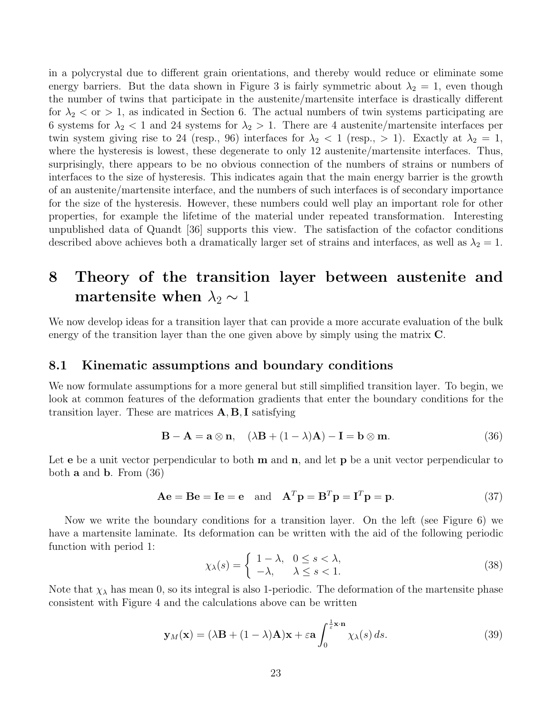in a polycrystal due to different grain orientations, and thereby would reduce or eliminate some energy barriers. But the data shown in Figure 3 is fairly symmetric about  $\lambda_2 = 1$ , even though the number of twins that participate in the austenite/martensite interface is drastically different for  $\lambda_2$  < or > 1, as indicated in Section 6. The actual numbers of twin systems participating are 6 systems for  $\lambda_2$  < 1 and 24 systems for  $\lambda_2$  > 1. There are 4 austenite/martensite interfaces per twin system giving rise to 24 (resp., 96) interfaces for  $\lambda_2 < 1$  (resp., > 1). Exactly at  $\lambda_2 = 1$ , where the hysteresis is lowest, these degenerate to only 12 austenite/martensite interfaces. Thus, surprisingly, there appears to be no obvious connection of the numbers of strains or numbers of interfaces to the size of hysteresis. This indicates again that the main energy barrier is the growth of an austenite/martensite interface, and the numbers of such interfaces is of secondary importance for the size of the hysteresis. However, these numbers could well play an important role for other properties, for example the lifetime of the material under repeated transformation. Interesting unpublished data of Quandt [36] supports this view. The satisfaction of the cofactor conditions described above achieves both a dramatically larger set of strains and interfaces, as well as  $\lambda_2 = 1$ .

## 8 Theory of the transition layer between austenite and martensite when  $\lambda_2 \sim 1$

We now develop ideas for a transition layer that can provide a more accurate evaluation of the bulk energy of the transition layer than the one given above by simply using the matrix C.

#### 8.1 Kinematic assumptions and boundary conditions

We now formulate assumptions for a more general but still simplified transition layer. To begin, we look at common features of the deformation gradients that enter the boundary conditions for the transition layer. These are matrices  $A, B, I$  satisfying

$$
\mathbf{B} - \mathbf{A} = \mathbf{a} \otimes \mathbf{n}, \quad (\lambda \mathbf{B} + (1 - \lambda)\mathbf{A}) - \mathbf{I} = \mathbf{b} \otimes \mathbf{m}.
$$
 (36)

Let  $e$  be a unit vector perpendicular to both  $m$  and  $n$ , and let  $p$  be a unit vector perpendicular to both a and b. From (36)

$$
\mathbf{A}\mathbf{e} = \mathbf{B}\mathbf{e} = \mathbf{I}\mathbf{e} = \mathbf{e} \quad \text{and} \quad \mathbf{A}^T \mathbf{p} = \mathbf{B}^T \mathbf{p} = \mathbf{I}^T \mathbf{p} = \mathbf{p}.\tag{37}
$$

Now we write the boundary conditions for a transition layer. On the left (see Figure 6) we have a martensite laminate. Its deformation can be written with the aid of the following periodic function with period 1:

$$
\chi_{\lambda}(s) = \begin{cases} 1 - \lambda, & 0 \le s < \lambda, \\ -\lambda, & \lambda \le s < 1. \end{cases}
$$
 (38)

Note that  $\chi_{\lambda}$  has mean 0, so its integral is also 1-periodic. The deformation of the martensite phase consistent with Figure 4 and the calculations above can be written

$$
\mathbf{y}_M(\mathbf{x}) = (\lambda \mathbf{B} + (1 - \lambda)\mathbf{A})\mathbf{x} + \varepsilon \mathbf{a} \int_0^{\frac{1}{\varepsilon} \mathbf{x} \cdot \mathbf{n}} \chi_\lambda(s) ds.
$$
 (39)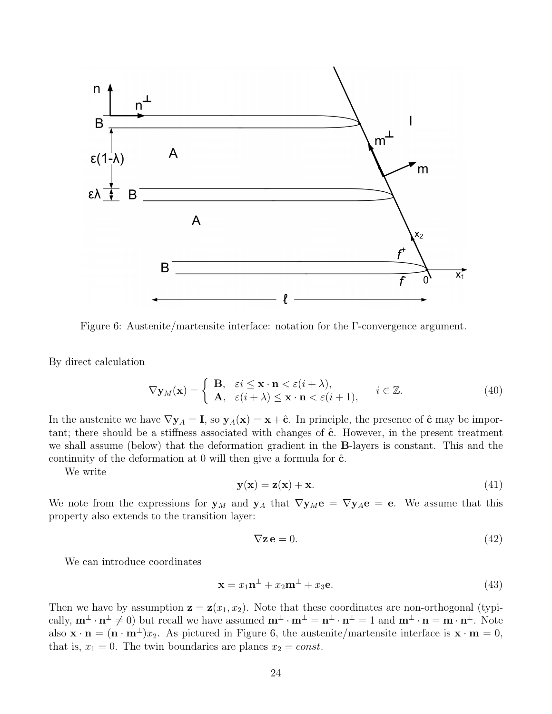

Figure 6: Austenite/martensite interface: notation for the Γ-convergence argument.

By direct calculation

$$
\nabla \mathbf{y}_M(\mathbf{x}) = \begin{cases} \mathbf{B}, & \varepsilon i \leq \mathbf{x} \cdot \mathbf{n} < \varepsilon (i + \lambda), \\ \mathbf{A}, & \varepsilon (i + \lambda) \leq \mathbf{x} \cdot \mathbf{n} < \varepsilon (i + 1), \end{cases} \quad i \in \mathbb{Z}.
$$
 (40)

In the austenite we have  $\nabla y_A = I$ , so  $y_A(x) = x + \hat{c}$ . In principle, the presence of  $\hat{c}$  may be important; there should be a stiffness associated with changes of  $\hat{c}$ . However, in the present treatment we shall assume (below) that the deformation gradient in the B-layers is constant. This and the continuity of the deformation at 0 will then give a formula for  $\hat{c}$ .

We write

$$
\mathbf{y}(\mathbf{x}) = \mathbf{z}(\mathbf{x}) + \mathbf{x}.\tag{41}
$$

We note from the expressions for  $y_M$  and  $y_A$  that  $\nabla y_M e = \nabla y_A e = e$ . We assume that this property also extends to the transition layer:

$$
\nabla \mathbf{z} \, \mathbf{e} = 0. \tag{42}
$$

We can introduce coordinates

$$
\mathbf{x} = x_1 \mathbf{n}^\perp + x_2 \mathbf{m}^\perp + x_3 \mathbf{e}.\tag{43}
$$

Then we have by assumption  $z = z(x_1, x_2)$ . Note that these coordinates are non-orthogonal (typically,  $\mathbf{m}^{\perp} \cdot \mathbf{n}^{\perp} \neq 0$  but recall we have assumed  $\mathbf{m}^{\perp} \cdot \mathbf{m}^{\perp} = \mathbf{n}^{\perp} \cdot \mathbf{n}^{\perp} = 1$  and  $\mathbf{m}^{\perp} \cdot \mathbf{n} = \mathbf{m} \cdot \mathbf{n}^{\perp}$ . Note also  $\mathbf{x} \cdot \mathbf{n} = (\mathbf{n} \cdot \mathbf{m}^{\perp})x_2$ . As pictured in Figure 6, the austenite/martensite interface is  $\mathbf{x} \cdot \mathbf{m} = 0$ , that is,  $x_1 = 0$ . The twin boundaries are planes  $x_2 = const$ .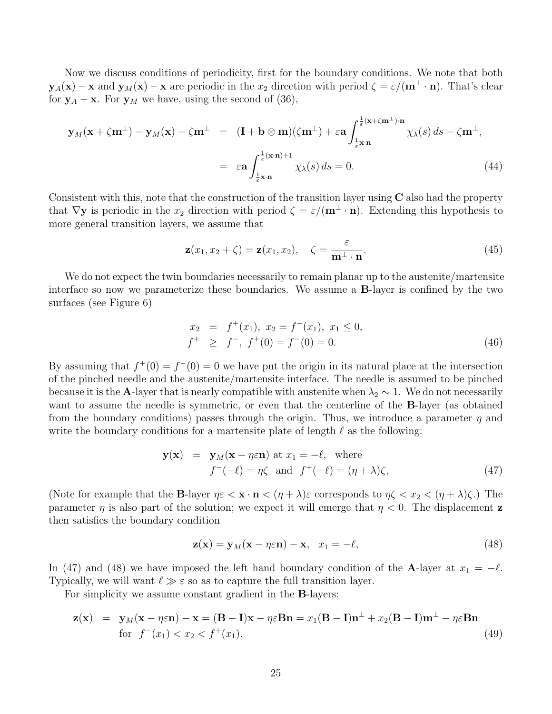Now we discuss conditions of periodicity, first for the boundary conditions. We note that both  $y_A(x) - x$  and  $y_M(x) - x$  are periodic in the  $x_2$  direction with period  $\zeta = \varepsilon/(m^{\perp} \cdot n)$ . That's clear for  $y_A - x$ . For  $y_M$  we have, using the second of (36),

$$
\mathbf{y}_M(\mathbf{x} + \zeta \mathbf{m}^{\perp}) - \mathbf{y}_M(\mathbf{x}) - \zeta \mathbf{m}^{\perp} = (\mathbf{I} + \mathbf{b} \otimes \mathbf{m})(\zeta \mathbf{m}^{\perp}) + \varepsilon \mathbf{a} \int_{\frac{1}{\varepsilon} \mathbf{x} \cdot \mathbf{n}}^{\frac{1}{\varepsilon} (\mathbf{x} + \zeta \mathbf{m}^{\perp}) \cdot \mathbf{n}} \chi_{\lambda}(s) ds - \zeta \mathbf{m}^{\perp},
$$
  
=  $\varepsilon \mathbf{a} \int_{\frac{1}{\varepsilon} \mathbf{x} \cdot \mathbf{n}}^{\frac{1}{\varepsilon} (\mathbf{x} \cdot \mathbf{n}) + 1} \chi_{\lambda}(s) ds = 0.$  (44)

Consistent with this, note that the construction of the transition layer using  $C$  also had the property that  $\nabla$ **y** is periodic in the  $x_2$  direction with period  $\zeta = \varepsilon/(\mathbf{m}^{\perp} \cdot \mathbf{n})$ . Extending this hypothesis to more general transition layers, we assume that

$$
\mathbf{z}(x_1, x_2 + \zeta) = \mathbf{z}(x_1, x_2), \quad \zeta = \frac{\varepsilon}{\mathbf{m}^{\perp} \cdot \mathbf{n}}.
$$
 (45)

We do not expect the twin boundaries necessarily to remain planar up to the austenite/martensite interface so now we parameterize these boundaries. We assume a B-layer is confined by the two surfaces (see Figure 6)

$$
x_2 = f^+(x_1), x_2 = f^-(x_1), x_1 \le 0,
$$
  

$$
f^+ \ge f^-, f^+(0) = f^-(0) = 0.
$$
 (46)

By assuming that  $f^+(0) = f^-(0) = 0$  we have put the origin in its natural place at the intersection of the pinched needle and the austenite/martensite interface. The needle is assumed to be pinched because it is the A-layer that is nearly compatible with austenite when  $\lambda_2 \sim 1$ . We do not necessarily want to assume the needle is symmetric, or even that the centerline of the **B**-layer (as obtained from the boundary conditions) passes through the origin. Thus, we introduce a parameter  $\eta$  and write the boundary conditions for a martensite plate of length  $\ell$  as the following:

$$
\mathbf{y}(\mathbf{x}) = \mathbf{y}_M(\mathbf{x} - \eta \varepsilon \mathbf{n}) \text{ at } x_1 = -\ell, \text{ where}
$$
  

$$
f^{-}(-\ell) = \eta \zeta \text{ and } f^{+}(-\ell) = (\eta + \lambda)\zeta,
$$
 (47)

(Note for example that the **B**-layer  $\eta \varepsilon < \mathbf{x} \cdot \mathbf{n} < (\eta + \lambda) \varepsilon$  corresponds to  $\eta \zeta < x_2 < (\eta + \lambda) \zeta$ .) The parameter  $\eta$  is also part of the solution; we expect it will emerge that  $\eta < 0$ . The displacement **z** then satisfies the boundary condition

$$
\mathbf{z}(\mathbf{x}) = \mathbf{y}_M(\mathbf{x} - \eta \varepsilon \mathbf{n}) - \mathbf{x}, \quad x_1 = -\ell,
$$
\n(48)

In (47) and (48) we have imposed the left hand boundary condition of the A-layer at  $x_1 = -\ell$ . Typically, we will want  $\ell \gg \varepsilon$  so as to capture the full transition layer.

For simplicity we assume constant gradient in the B-layers:

$$
\mathbf{z}(\mathbf{x}) = \mathbf{y}_M(\mathbf{x} - \eta \varepsilon \mathbf{n}) - \mathbf{x} = (\mathbf{B} - \mathbf{I})\mathbf{x} - \eta \varepsilon \mathbf{B} \mathbf{n} = x_1(\mathbf{B} - \mathbf{I})\mathbf{n}^\perp + x_2(\mathbf{B} - \mathbf{I})\mathbf{m}^\perp - \eta \varepsilon \mathbf{B} \mathbf{n}
$$
for  $f^-(x_1) < x_2 < f^+(x_1)$ . (49)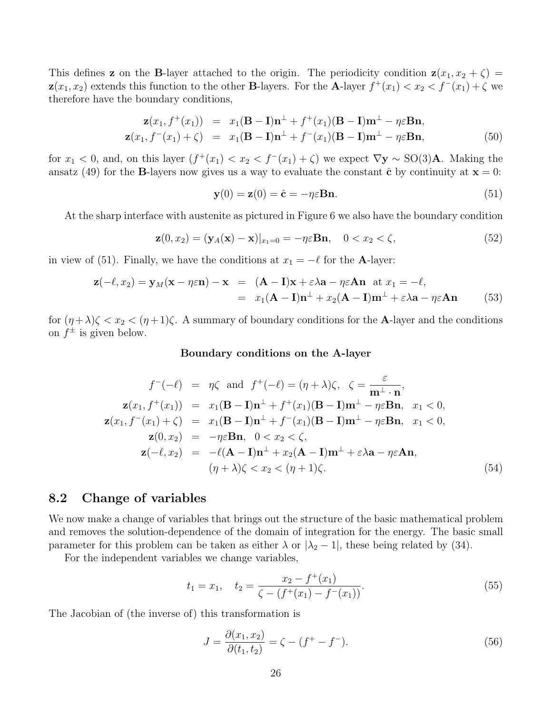This defines **z** on the **B**-layer attached to the origin. The periodicity condition  $z(x_1, x_2 + \zeta) =$  $z(x_1, x_2)$  extends this function to the other **B**-layers. For the **A**-layer  $f^+(x_1) < x_2 < f^-(x_1) + \zeta$  we therefore have the boundary conditions,

$$
\mathbf{z}(x_1, f^+(x_1)) = x_1(\mathbf{B} - \mathbf{I})\mathbf{n}^{\perp} + f^+(x_1)(\mathbf{B} - \mathbf{I})\mathbf{m}^{\perp} - \eta \varepsilon \mathbf{B} \mathbf{n},
$$
  

$$
\mathbf{z}(x_1, f^-(x_1) + \zeta) = x_1(\mathbf{B} - \mathbf{I})\mathbf{n}^{\perp} + f^-(x_1)(\mathbf{B} - \mathbf{I})\mathbf{m}^{\perp} - \eta \varepsilon \mathbf{B} \mathbf{n},
$$
(50)

for  $x_1 < 0$ , and, on this layer  $(f^+(x_1) < x_2 < f^-(x_1) + \zeta)$  we expect  $\nabla y \sim SO(3)$ **A**. Making the ansatz (49) for the B-layers now gives us a way to evaluate the constant  $\hat{\mathbf{c}}$  by continuity at  $\mathbf{x} = 0$ :

$$
\mathbf{y}(0) = \mathbf{z}(0) = \hat{\mathbf{c}} = -\eta \varepsilon \mathbf{B} \mathbf{n}.\tag{51}
$$

At the sharp interface with austenite as pictured in Figure 6 we also have the boundary condition

$$
\mathbf{z}(0, x_2) = (\mathbf{y}_A(\mathbf{x}) - \mathbf{x})|_{x_1=0} = -\eta \varepsilon \mathbf{B} \mathbf{n}, \quad 0 < x_2 < \zeta,\tag{52}
$$

in view of (51). Finally, we have the conditions at  $x_1 = -\ell$  for the **A**-layer:

$$
\mathbf{z}(-\ell, x_2) = \mathbf{y}_M(\mathbf{x} - \eta \varepsilon \mathbf{n}) - \mathbf{x} = (\mathbf{A} - \mathbf{I})\mathbf{x} + \varepsilon \lambda \mathbf{a} - \eta \varepsilon \mathbf{A} \mathbf{n} \text{ at } x_1 = -\ell,
$$
  
=  $x_1(\mathbf{A} - \mathbf{I})\mathbf{n}^{\perp} + x_2(\mathbf{A} - \mathbf{I})\mathbf{m}^{\perp} + \varepsilon \lambda \mathbf{a} - \eta \varepsilon \mathbf{A} \mathbf{n}$  (53)

for  $(\eta + \lambda)\zeta < x_2 < (\eta + 1)\zeta$ . A summary of boundary conditions for the **A**-layer and the conditions on  $f^{\pm}$  is given below.

#### Boundary conditions on the A-layer

$$
f^{-}(-\ell) = \eta \zeta \text{ and } f^{+}(-\ell) = (\eta + \lambda)\zeta, \quad \zeta = \frac{\varepsilon}{\mathbf{m}^{\perp} \cdot \mathbf{n}},
$$
  
\n
$$
\mathbf{z}(x_1, f^{+}(x_1)) = x_1(\mathbf{B} - \mathbf{I})\mathbf{n}^{\perp} + f^{+}(x_1)(\mathbf{B} - \mathbf{I})\mathbf{m}^{\perp} - \eta \varepsilon \mathbf{B} \mathbf{n}, \quad x_1 < 0,
$$
  
\n
$$
\mathbf{z}(x_1, f^{-}(x_1) + \zeta) = x_1(\mathbf{B} - \mathbf{I})\mathbf{n}^{\perp} + f^{-}(x_1)(\mathbf{B} - \mathbf{I})\mathbf{m}^{\perp} - \eta \varepsilon \mathbf{B} \mathbf{n}, \quad x_1 < 0,
$$
  
\n
$$
\mathbf{z}(0, x_2) = -\eta \varepsilon \mathbf{B} \mathbf{n}, \quad 0 < x_2 < \zeta,
$$
  
\n
$$
\mathbf{z}(-\ell, x_2) = -\ell(\mathbf{A} - \mathbf{I})\mathbf{n}^{\perp} + x_2(\mathbf{A} - \mathbf{I})\mathbf{m}^{\perp} + \varepsilon \lambda \mathbf{a} - \eta \varepsilon \mathbf{A} \mathbf{n},
$$
  
\n
$$
(\eta + \lambda)\zeta < x_2 < (\eta + 1)\zeta.
$$
\n(54)

#### 8.2 Change of variables

We now make a change of variables that brings out the structure of the basic mathematical problem and removes the solution-dependence of the domain of integration for the energy. The basic small parameter for this problem can be taken as either  $\lambda$  or  $|\lambda_2 - 1|$ , these being related by (34).

For the independent variables we change variables,

$$
t_1 = x_1, \quad t_2 = \frac{x_2 - f^+(x_1)}{\zeta - (f^+(x_1) - f^-(x_1))}.
$$
\n
$$
(55)
$$

The Jacobian of (the inverse of) this transformation is

$$
J = \frac{\partial(x_1, x_2)}{\partial(t_1, t_2)} = \zeta - (f^+ - f^-). \tag{56}
$$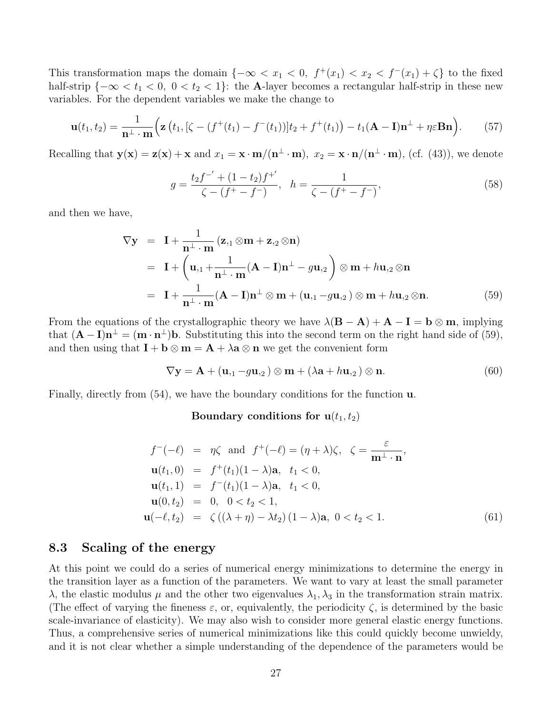This transformation maps the domain  $\{-\infty < x_1 < 0, f^+(x_1) < x_2 < f^-(x_1) + \zeta\}$  to the fixed half-strip  ${-\infty < t_1 < 0, 0 < t_2 < 1}$ : the **A**-layer becomes a rectangular half-strip in these new variables. For the dependent variables we make the change to

$$
\mathbf{u}(t_1, t_2) = \frac{1}{\mathbf{n}^{\perp} \cdot \mathbf{m}} \Big( \mathbf{z} \left( t_1, \left[ \zeta - \left( f^+(t_1) - f^-(t_1) \right) \right] t_2 + f^+(t_1) \right) - t_1 (\mathbf{A} - \mathbf{I}) \mathbf{n}^{\perp} + \eta \varepsilon \mathbf{B} \mathbf{n} \Big). \tag{57}
$$

Recalling that  $y(x) = z(x) + x$  and  $x_1 = x \cdot m/(n^{\perp} \cdot m)$ ,  $x_2 = x \cdot n/(n^{\perp} \cdot m)$ , (cf. (43)), we denote

$$
g = \frac{t_2 f^{-1} + (1 - t_2)f^{+1}}{\zeta - (f^+ - f^-)}, \quad h = \frac{1}{\zeta - (f^+ - f^-)},\tag{58}
$$

and then we have,

$$
\nabla \mathbf{y} = \mathbf{I} + \frac{1}{\mathbf{n}^{\perp} \cdot \mathbf{m}} (\mathbf{z}_{,1} \otimes \mathbf{m} + \mathbf{z}_{,2} \otimes \mathbf{n})
$$
  
\n
$$
= \mathbf{I} + \left( \mathbf{u}_{,1} + \frac{1}{\mathbf{n}^{\perp} \cdot \mathbf{m}} (\mathbf{A} - \mathbf{I}) \mathbf{n}^{\perp} - g \mathbf{u}_{,2} \right) \otimes \mathbf{m} + h \mathbf{u}_{,2} \otimes \mathbf{n}
$$
  
\n
$$
= \mathbf{I} + \frac{1}{\mathbf{n}^{\perp} \cdot \mathbf{m}} (\mathbf{A} - \mathbf{I}) \mathbf{n}^{\perp} \otimes \mathbf{m} + (\mathbf{u}_{,1} - g \mathbf{u}_{,2}) \otimes \mathbf{m} + h \mathbf{u}_{,2} \otimes \mathbf{n}.
$$
 (59)

From the equations of the crystallographic theory we have  $\lambda(\mathbf{B} - \mathbf{A}) + \mathbf{A} - \mathbf{I} = \mathbf{b} \otimes \mathbf{m}$ , implying that  $(\mathbf{A} - \mathbf{I})\mathbf{n}^{\perp} = (\mathbf{m} \cdot \mathbf{n}^{\perp})\mathbf{b}$ . Substituting this into the second term on the right hand side of (59), and then using that  $\mathbf{I} + \mathbf{b} \otimes \mathbf{m} = \mathbf{A} + \lambda \mathbf{a} \otimes \mathbf{n}$  we get the convenient form

$$
\nabla \mathbf{y} = \mathbf{A} + (\mathbf{u}_{11} - g\mathbf{u}_{22}) \otimes \mathbf{m} + (\lambda \mathbf{a} + h\mathbf{u}_{22}) \otimes \mathbf{n}.
$$
 (60)

Finally, directly from (54), we have the boundary conditions for the function u.

Boundary conditions for  $u(t_1, t_2)$ 

$$
f^{-}(-\ell) = \eta \zeta \text{ and } f^{+}(-\ell) = (\eta + \lambda)\zeta, \ \zeta = \frac{\varepsilon}{\mathbf{m}^{\perp} \cdot \mathbf{n}},
$$
  
\n
$$
\mathbf{u}(t_1, 0) = f^{+}(t_1)(1 - \lambda)\mathbf{a}, \ t_1 < 0,
$$
  
\n
$$
\mathbf{u}(t_1, 1) = f^{-}(t_1)(1 - \lambda)\mathbf{a}, \ t_1 < 0,
$$
  
\n
$$
\mathbf{u}(0, t_2) = 0, \ 0 < t_2 < 1,
$$
  
\n
$$
\mathbf{u}(-\ell, t_2) = \zeta((\lambda + \eta) - \lambda t_2)(1 - \lambda)\mathbf{a}, \ 0 < t_2 < 1.
$$
 (61)

### 8.3 Scaling of the energy

At this point we could do a series of numerical energy minimizations to determine the energy in the transition layer as a function of the parameters. We want to vary at least the small parameter  $λ$ , the elastic modulus  $μ$  and the other two eigenvalues  $λ_1, λ_3$  in the transformation strain matrix. (The effect of varying the fineness  $\varepsilon$ , or, equivalently, the periodicity  $\zeta$ , is determined by the basic scale-invariance of elasticity). We may also wish to consider more general elastic energy functions. Thus, a comprehensive series of numerical minimizations like this could quickly become unwieldy, and it is not clear whether a simple understanding of the dependence of the parameters would be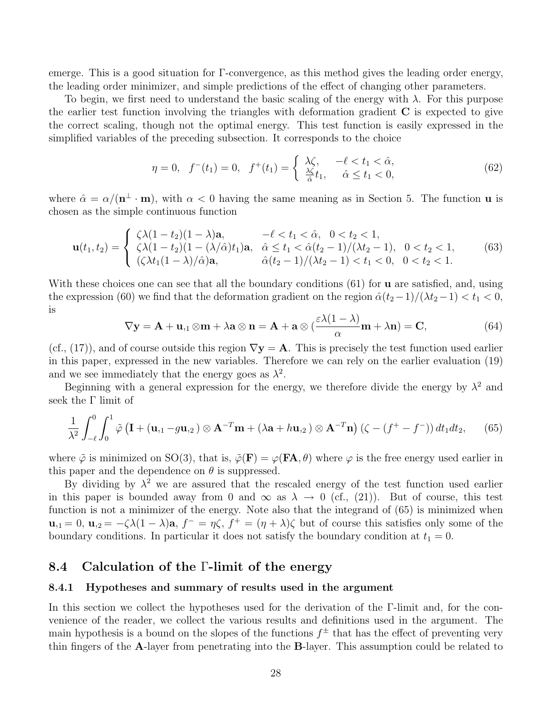emerge. This is a good situation for Γ-convergence, as this method gives the leading order energy, the leading order minimizer, and simple predictions of the effect of changing other parameters.

To begin, we first need to understand the basic scaling of the energy with  $\lambda$ . For this purpose the earlier test function involving the triangles with deformation gradient C is expected to give the correct scaling, though not the optimal energy. This test function is easily expressed in the simplified variables of the preceding subsection. It corresponds to the choice

$$
\eta = 0, \quad f^-(t_1) = 0, \quad f^+(t_1) = \begin{cases} \lambda \zeta, & -\ell < t_1 < \hat{\alpha}, \\ \frac{\lambda \zeta}{\hat{\alpha}} t_1, & \hat{\alpha} \le t_1 < 0, \end{cases}
$$
 (62)

where  $\hat{\alpha} = \alpha/(\mathbf{n}^{\perp} \cdot \mathbf{m})$ , with  $\alpha < 0$  having the same meaning as in Section 5. The function **u** is chosen as the simple continuous function

$$
\mathbf{u}(t_1, t_2) = \begin{cases} \zeta \lambda (1 - t_2)(1 - \lambda)\mathbf{a}, & -\ell < t_1 < \hat{\alpha}, \quad 0 < t_2 < 1, \\ \zeta \lambda (1 - t_2)(1 - (\lambda/\hat{\alpha})t_1)\mathbf{a}, & \hat{\alpha} \le t_1 < \hat{\alpha}(t_2 - 1)/(\lambda t_2 - 1), \quad 0 < t_2 < 1, \\ (\zeta \lambda t_1 (1 - \lambda)/\hat{\alpha})\mathbf{a}, & \hat{\alpha}(t_2 - 1)/(\lambda t_2 - 1) < t_1 < 0, \quad 0 < t_2 < 1. \end{cases}
$$
(63)

With these choices one can see that all the boundary conditions  $(61)$  for **u** are satisfied, and, using the expression (60) we find that the deformation gradient on the region  $\hat{\alpha}(t_2-1)/(\lambda t_2-1) < t_1 < 0$ , is

$$
\nabla \mathbf{y} = \mathbf{A} + \mathbf{u}_{,1} \otimes \mathbf{m} + \lambda \mathbf{a} \otimes \mathbf{n} = \mathbf{A} + \mathbf{a} \otimes \left( \frac{\varepsilon \lambda (1 - \lambda)}{\alpha} \mathbf{m} + \lambda \mathbf{n} \right) = \mathbf{C},\tag{64}
$$

(cf., (17)), and of course outside this region  $\nabla y = A$ . This is precisely the test function used earlier in this paper, expressed in the new variables. Therefore we can rely on the earlier evaluation (19) and we see immediately that the energy goes as  $\lambda^2$ .

Beginning with a general expression for the energy, we therefore divide the energy by  $\lambda^2$  and seek the Γ limit of

$$
\frac{1}{\lambda^2} \int_{-\ell}^0 \int_0^1 \tilde{\varphi} \left( \mathbf{I} + (\mathbf{u}_{11} - g\mathbf{u}_{22}) \otimes \mathbf{A}^{-T}\mathbf{m} + (\lambda \mathbf{a} + h\mathbf{u}_{22}) \otimes \mathbf{A}^{-T}\mathbf{n} \right) (\zeta - (f^+ - f^-)) dt_1 dt_2, \qquad (65)
$$

where  $\tilde{\varphi}$  is minimized on SO(3), that is,  $\tilde{\varphi}(\mathbf{F}) = \varphi(\mathbf{FA}, \theta)$  where  $\varphi$  is the free energy used earlier in this paper and the dependence on  $\theta$  is suppressed.

By dividing by  $\lambda^2$  we are assured that the rescaled energy of the test function used earlier in this paper is bounded away from 0 and  $\infty$  as  $\lambda \to 0$  (cf., (21)). But of course, this test function is not a minimizer of the energy. Note also that the integrand of (65) is minimized when  $u_{1} = 0$ ,  $u_{2} = -\zeta \lambda (1 - \lambda) a$ ,  $f^{-} = \eta \zeta$ ,  $f^{+} = (\eta + \lambda) \zeta$  but of course this satisfies only some of the boundary conditions. In particular it does not satisfy the boundary condition at  $t_1 = 0$ .

### 8.4 Calculation of the Γ-limit of the energy

#### 8.4.1 Hypotheses and summary of results used in the argument

In this section we collect the hypotheses used for the derivation of the Γ-limit and, for the convenience of the reader, we collect the various results and definitions used in the argument. The main hypothesis is a bound on the slopes of the functions  $f^{\pm}$  that has the effect of preventing very thin fingers of the A-layer from penetrating into the B-layer. This assumption could be related to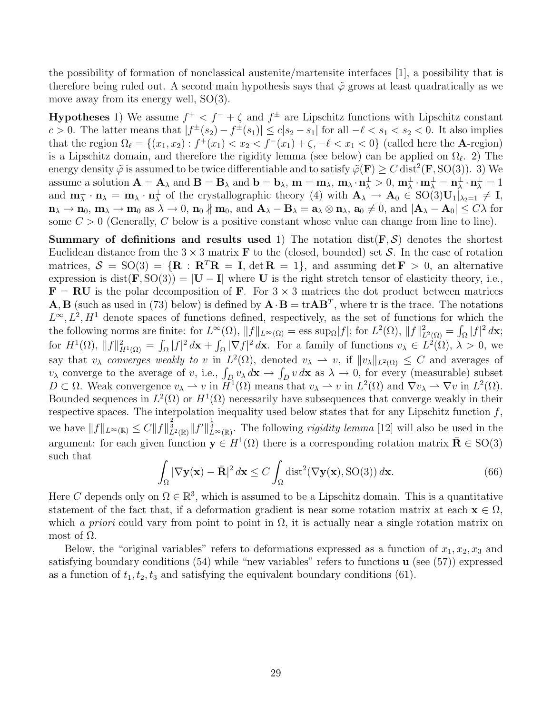the possibility of formation of nonclassical austenite/martensite interfaces [1], a possibility that is therefore being ruled out. A second main hypothesis says that  $\tilde{\varphi}$  grows at least quadratically as we move away from its energy well,  $SO(3)$ .

**Hypotheses** 1) We assume  $f^+ < f^- + \zeta$  and  $f^{\pm}$  are Lipschitz functions with Lipschitz constant  $c > 0$ . The latter means that  $|f^{\pm}(s_2) - f^{\pm}(s_1)| \leq c|s_2 - s_1|$  for all  $-\ell < s_1 < s_2 < 0$ . It also implies that the region  $\Omega_{\ell} = \{(x_1, x_2) : f^+(x_1) < x_2 < f^-(x_1) + \zeta, -\ell < x_1 < 0\}$  (called here the **A**-region) is a Lipschitz domain, and therefore the rigidity lemma (see below) can be applied on  $\Omega_{\ell}$ . 2) The energy density  $\tilde{\varphi}$  is assumed to be twice differentiable and to satisfy  $\tilde{\varphi}(\mathbf{F}) \ge C \text{ dist}^2(\mathbf{F}, \text{SO}(3))$ . 3) We assume a solution  $\mathbf{A} = \mathbf{A}_{\lambda}$  and  $\mathbf{B} = \mathbf{B}_{\lambda}$  and  $\mathbf{b} = \mathbf{b}_{\lambda}$ ,  $\mathbf{m} = \mathbf{m}_{\lambda}$ ,  $\mathbf{m}_{\lambda} \cdot \mathbf{n}_{\lambda}^{\perp} > 0$ ,  $\mathbf{m}_{\lambda}^{\perp} \cdot \mathbf{m}_{\lambda}^{\perp} = \mathbf{n}_{\lambda}^{\perp} \cdot \mathbf{n}_{\lambda}^{\perp} = 1$ and  $\mathbf{m}_{\lambda}^{\perp} \cdot \mathbf{n}_{\lambda} = \mathbf{m}_{\lambda} \cdot \mathbf{n}_{\lambda}^{\perp}$  of the crystallographic theory (4) with  $\mathbf{A}_{\lambda} \to \mathbf{A}_0 \in SO(3) \mathbf{U}_1|_{\lambda_2=1} \neq \mathbf{I}$ ,  $\mathbf{n}_{\lambda} \to \mathbf{n}_0$ ,  $\mathbf{m}_{\lambda} \to \mathbf{m}_0$  as  $\lambda \to 0$ ,  $\mathbf{n}_0 \nparallel \mathbf{m}_0$ , and  $\mathbf{A}_{\lambda} - \mathbf{B}_{\lambda} = \mathbf{a}_{\lambda} \otimes \mathbf{n}_{\lambda}$ ,  $\mathbf{a}_0 \neq 0$ , and  $|\mathbf{A}_{\lambda} - \mathbf{A}_0| \leq C \lambda$  for some  $C > 0$  (Generally, C below is a positive constant whose value can change from line to line).

**Summary of definitions and results used** 1) The notation dist( $\mathbf{F}, \mathcal{S}$ ) denotes the shortest Euclidean distance from the  $3 \times 3$  matrix **F** to the (closed, bounded) set S. In the case of rotation matrices,  $S = SO(3) = \{R : R^T R = I, \text{det } R = 1\}$ , and assuming  $\det F > 0$ , an alternative expression is dist(**F**, SO(3)) =  $|U - I|$  where U is the right stretch tensor of elasticity theory, i.e.,  $\mathbf{F} = \mathbf{R}\mathbf{U}$  is the polar decomposition of F. For  $3 \times 3$  matrices the dot product between matrices **A**, **B** (such as used in (73) below) is defined by  $\mathbf{A} \cdot \mathbf{B} = \text{tr} \mathbf{A} \mathbf{B}^T$ , where tr is the trace. The notations  $L^{\infty}, L^2, H^1$  denote spaces of functions defined, respectively, as the set of functions for which the the following norms are finite: for  $L^{\infty}(\Omega)$ ,  $||f||_{L^{\infty}(\Omega)} = \text{ess sup}_{\Omega}|f|$ ; for  $L^{2}(\Omega)$ ,  $||f||_{L^{2}(\Omega)}^{2} = \int_{\Omega} |f|^{2} d\mathbf{x}$ ; for  $H^1(\Omega)$ ,  $||f||^2_{H^1(\Omega)} = \int_{\Omega} |f|^2 d\mathbf{x} + \int_{\Omega} |\nabla f|^2 d\mathbf{x}$ . For a family of functions  $v_\lambda \in L^2(\Omega)$ ,  $\lambda > 0$ , we say that  $v_{\lambda}$  converges weakly to v in  $L^2(\Omega)$ , denoted  $v_{\lambda} \to v$ , if  $||v_{\lambda}||_{L^2(\Omega)} \leq C$  and averages of  $v_{\lambda}$  converge to the average of v, i.e.,  $\int_{D} v_{\lambda} d\mathbf{x} \to \int_{D} v d\mathbf{x}$  as  $\lambda \to 0$ , for every (measurable) subset  $D \subset \Omega$ . Weak convergence  $v_{\lambda} \to v$  in  $H^1(\Omega)$  means that  $v_{\lambda} \to v$  in  $L^2(\Omega)$  and  $\nabla v_{\lambda} \to \nabla v$  in  $L^2(\Omega)$ . Bounded sequences in  $L^2(\Omega)$  or  $H^1(\Omega)$  necessarily have subsequences that converge weakly in their respective spaces. The interpolation inequality used below states that for any Lipschitz function  $f$ , we have  $||f||_{L^{\infty}(\mathbb{R})} \leq C||f||_{L^{2}(\mathbb{R})}^{\frac{2}{3}}||f'||_{L^{\infty}(\mathbb{R})}^{\frac{1}{3}}$ . The following *rigidity lemma* [12] will also be used in the argument: for each given function  $y \in H^1(\Omega)$  there is a corresponding rotation matrix  $\bar{R} \in SO(3)$ such that

$$
\int_{\Omega} |\nabla \mathbf{y}(\mathbf{x}) - \bar{\mathbf{R}}|^2 d\mathbf{x} \le C \int_{\Omega} \text{dist}^2(\nabla \mathbf{y}(\mathbf{x}), \text{SO}(3)) d\mathbf{x}.\tag{66}
$$

Here C depends only on  $\Omega \in \mathbb{R}^3$ , which is assumed to be a Lipschitz domain. This is a quantitative statement of the fact that, if a deformation gradient is near some rotation matrix at each  $\mathbf{x} \in \Omega$ , which a priori could vary from point to point in  $\Omega$ , it is actually near a single rotation matrix on most of Ω.

Below, the "original variables" refers to deformations expressed as a function of  $x_1, x_2, x_3$  and satisfying boundary conditions  $(54)$  while "new variables" refers to functions **u** (see  $(57)$ ) expressed as a function of  $t_1, t_2, t_3$  and satisfying the equivalent boundary conditions (61).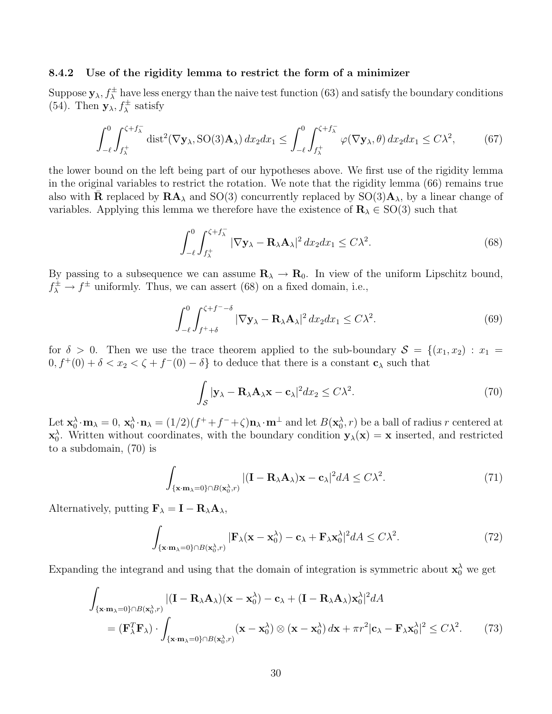#### 8.4.2 Use of the rigidity lemma to restrict the form of a minimizer

Suppose  $y_{\lambda}$ ,  $f_{\lambda}^{\pm}$  have less energy than the naive test function (63) and satisfy the boundary conditions (54). Then  $\mathbf{y}_{\lambda}, f_{\lambda}^{\pm}$  satisfy

$$
\int_{-\ell}^{0} \int_{f_{\lambda}^{+}}^{\zeta+f_{\lambda}^{-}} \text{dist}^{2}(\nabla \mathbf{y}_{\lambda}, \text{SO}(3) \mathbf{A}_{\lambda}) d x_{2} d x_{1} \leq \int_{-\ell}^{0} \int_{f_{\lambda}^{+}}^{\zeta+f_{\lambda}^{-}} \varphi(\nabla \mathbf{y}_{\lambda}, \theta) d x_{2} d x_{1} \leq C \lambda^{2}, \tag{67}
$$

the lower bound on the left being part of our hypotheses above. We first use of the rigidity lemma in the original variables to restrict the rotation. We note that the rigidity lemma (66) remains true also with **R** replaced by  $\mathbf{RA}_{\lambda}$  and SO(3) concurrently replaced by SO(3) $\mathbf{A}_{\lambda}$ , by a linear change of variables. Applying this lemma we therefore have the existence of  $\mathbf{R}_{\lambda} \in SO(3)$  such that

$$
\int_{-\ell}^{0} \int_{f_{\lambda}^{+}}^{\zeta + f_{\lambda}^{-}} |\nabla \mathbf{y}_{\lambda} - \mathbf{R}_{\lambda} \mathbf{A}_{\lambda}|^{2} dx_{2} dx_{1} \leq C\lambda^{2}.
$$
 (68)

By passing to a subsequence we can assume  $\mathbf{R}_{\lambda} \to \mathbf{R}_{0}$ . In view of the uniform Lipschitz bound,  $f_{\lambda}^{\pm} \rightarrow f^{\pm}$  uniformly. Thus, we can assert (68) on a fixed domain, i.e.,

$$
\int_{-\ell}^{0} \int_{f^+ + \delta}^{\zeta + f^- - \delta} |\nabla \mathbf{y}_{\lambda} - \mathbf{R}_{\lambda} \mathbf{A}_{\lambda}|^2 dx_2 dx_1 \le C\lambda^2.
$$
 (69)

for  $\delta > 0$ . Then we use the trace theorem applied to the sub-boundary  $S = \{(x_1, x_2) : x_1 =$  $0, f^+(0) + \delta < x_2 < \zeta + f^-(0) - \delta$  to deduce that there is a constant  $c_\lambda$  such that

$$
\int_{\mathcal{S}} |\mathbf{y}_{\lambda} - \mathbf{R}_{\lambda} \mathbf{A}_{\lambda} \mathbf{x} - \mathbf{c}_{\lambda}|^2 dx_2 \le C\lambda^2.
$$
 (70)

Let  $\mathbf{x}_0^{\lambda} \cdot \mathbf{m}_{\lambda} = 0$ ,  $\mathbf{x}_0^{\lambda} \cdot \mathbf{n}_{\lambda} = (1/2)(f^+ + f^- + \zeta)\mathbf{n}_{\lambda} \cdot \mathbf{m}^{\perp}$  and let  $B(\mathbf{x}_0^{\lambda}, r)$  be a ball of radius r centered at  $\mathbf{x}_0^{\lambda}$ . Written without coordinates, with the boundary condition  $\mathbf{y}_{\lambda}(\mathbf{x}) = \mathbf{x}$  inserted, and restricted to a subdomain, (70) is

$$
\int_{\{\mathbf{x}\cdot\mathbf{m}_{\lambda}=0\}\cap B(\mathbf{x}_{0}^{\lambda},r)} |(\mathbf{I}-\mathbf{R}_{\lambda}\mathbf{A}_{\lambda})\mathbf{x}-\mathbf{c}_{\lambda}|^{2} dA \leq C\lambda^{2}.
$$
\n(71)

Alternatively, putting  $\mathbf{F}_{\lambda} = \mathbf{I} - \mathbf{R}_{\lambda} \mathbf{A}_{\lambda}$ ,

$$
\int_{\{\mathbf{x}\cdot\mathbf{m}_{\lambda}=0\}\cap B(\mathbf{x}_{0}^{\lambda},r)}|\mathbf{F}_{\lambda}(\mathbf{x}-\mathbf{x}_{0}^{\lambda})-\mathbf{c}_{\lambda}+\mathbf{F}_{\lambda}\mathbf{x}_{0}^{\lambda}|^{2}dA\leq C\lambda^{2}.
$$
\n(72)

Expanding the integrand and using that the domain of integration is symmetric about  $\mathbf{x}_0^{\lambda}$  we get

$$
\int_{\{\mathbf{x}\cdot\mathbf{m}_{\lambda}=0\}\cap B(\mathbf{x}_{0}^{\lambda},r)} |(\mathbf{I}-\mathbf{R}_{\lambda}\mathbf{A}_{\lambda})(\mathbf{x}-\mathbf{x}_{0}^{\lambda})-\mathbf{c}_{\lambda}+(\mathbf{I}-\mathbf{R}_{\lambda}\mathbf{A}_{\lambda})\mathbf{x}_{0}^{\lambda}|^{2} dA
$$
\n
$$
= (\mathbf{F}_{\lambda}^{T}\mathbf{F}_{\lambda}) \cdot \int_{\{\mathbf{x}\cdot\mathbf{m}_{\lambda}=0\}\cap B(\mathbf{x}_{0}^{\lambda},r)} (\mathbf{x}-\mathbf{x}_{0}^{\lambda}) \otimes (\mathbf{x}-\mathbf{x}_{0}^{\lambda}) d\mathbf{x} + \pi r^{2} |\mathbf{c}_{\lambda}-\mathbf{F}_{\lambda}\mathbf{x}_{0}^{\lambda}|^{2} \leq C\lambda^{2}.
$$
\n(73)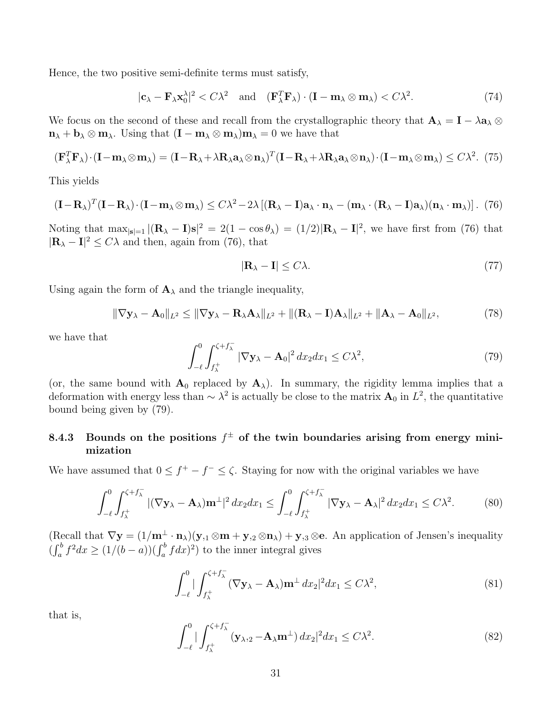Hence, the two positive semi-definite terms must satisfy,

$$
|\mathbf{c}_{\lambda} - \mathbf{F}_{\lambda} \mathbf{x}_{0}^{\lambda}|^{2} < C\lambda^{2} \quad \text{and} \quad (\mathbf{F}_{\lambda}^{T} \mathbf{F}_{\lambda}) \cdot (\mathbf{I} - \mathbf{m}_{\lambda} \otimes \mathbf{m}_{\lambda}) < C\lambda^{2}.\tag{74}
$$

We focus on the second of these and recall from the crystallographic theory that  $\mathbf{A}_{\lambda} = \mathbf{I} - \lambda \mathbf{a}_{\lambda} \otimes \mathbf{a}_{\lambda}$  $\mathbf{n}_{\lambda} + \mathbf{b}_{\lambda} \otimes \mathbf{m}_{\lambda}$ . Using that  $(\mathbf{I} - \mathbf{m}_{\lambda} \otimes \mathbf{m}_{\lambda})\mathbf{m}_{\lambda} = 0$  we have that

$$
(\mathbf{F}_{\lambda}^T \mathbf{F}_{\lambda}) \cdot (\mathbf{I} - \mathbf{m}_{\lambda} \otimes \mathbf{m}_{\lambda}) = (\mathbf{I} - \mathbf{R}_{\lambda} + \lambda \mathbf{R}_{\lambda} \mathbf{a}_{\lambda} \otimes \mathbf{n}_{\lambda})^T (\mathbf{I} - \mathbf{R}_{\lambda} + \lambda \mathbf{R}_{\lambda} \mathbf{a}_{\lambda} \otimes \mathbf{n}_{\lambda}) \cdot (\mathbf{I} - \mathbf{m}_{\lambda} \otimes \mathbf{m}_{\lambda}) \le C \lambda^2. (75)
$$

This yields

$$
(\mathbf{I}-\mathbf{R}_{\lambda})^T(\mathbf{I}-\mathbf{R}_{\lambda})\cdot(\mathbf{I}-\mathbf{m}_{\lambda}\otimes\mathbf{m}_{\lambda}) \leq C\lambda^2 - 2\lambda\left[ (\mathbf{R}_{\lambda}-\mathbf{I})\mathbf{a}_{\lambda}\cdot\mathbf{n}_{\lambda} - (\mathbf{m}_{\lambda}\cdot(\mathbf{R}_{\lambda}-\mathbf{I})\mathbf{a}_{\lambda})(\mathbf{n}_{\lambda}\cdot\mathbf{m}_{\lambda}) \right]. (76)
$$

Noting that  $\max_{|\mathbf{s}|=1} |(\mathbf{R}_{\lambda} - \mathbf{I})\mathbf{s}|^2 = 2(1 - \cos \theta_{\lambda}) = (1/2)|\mathbf{R}_{\lambda} - \mathbf{I}|^2$ , we have first from (76) that  $|\mathbf{R}_{\lambda} - \mathbf{I}|^2 \le C\lambda$  and then, again from (76), that

$$
|\mathbf{R}_{\lambda} - \mathbf{I}| \le C\lambda. \tag{77}
$$

Using again the form of  $\mathbf{A}_{\lambda}$  and the triangle inequality,

$$
\|\nabla \mathbf{y}_{\lambda} - \mathbf{A}_0\|_{L^2} \le \|\nabla \mathbf{y}_{\lambda} - \mathbf{R}_{\lambda} \mathbf{A}_{\lambda}\|_{L^2} + \|(\mathbf{R}_{\lambda} - \mathbf{I}) \mathbf{A}_{\lambda}\|_{L^2} + \|\mathbf{A}_{\lambda} - \mathbf{A}_0\|_{L^2},\tag{78}
$$

we have that

$$
\int_{-\ell}^{0} \int_{f_{\lambda}^{+}}^{\zeta + f_{\lambda}^{-}} |\nabla \mathbf{y}_{\lambda} - \mathbf{A}_{0}|^{2} dx_{2} dx_{1} \le C\lambda^{2}, \tag{79}
$$

(or, the same bound with  $A_0$  replaced by  $A_\lambda$ ). In summary, the rigidity lemma implies that a deformation with energy less than  $\sim \lambda^2$  is actually be close to the matrix  $\mathbf{A}_0$  in  $L^2$ , the quantitative bound being given by (79).

### 8.4.3 Bounds on the positions  $f^{\pm}$  of the twin boundaries arising from energy minimization

We have assumed that  $0 \leq f^+ - f^- \leq \zeta$ . Staying for now with the original variables we have

$$
\int_{-\ell}^{0} \int_{f_{\lambda}^{+}}^{\zeta+f_{\lambda}^{-}} |(\nabla \mathbf{y}_{\lambda} - \mathbf{A}_{\lambda}) \mathbf{m}^{\perp}|^{2} dx_{2} dx_{1} \leq \int_{-\ell}^{0} \int_{f_{\lambda}^{+}}^{\zeta+f_{\lambda}^{-}} |\nabla \mathbf{y}_{\lambda} - \mathbf{A}_{\lambda}|^{2} dx_{2} dx_{1} \leq C\lambda^{2}.
$$
 (80)

(Recall that  $\nabla y = (1/m^{\perp} \cdot n_{\lambda})(y_{1} \otimes m + y_{2} \otimes n_{\lambda}) + y_{3} \otimes e$ . An application of Jensen's inequality  $\left(\int_a^b f^2 dx \geq (1/(b-a))\left(\int_a^b f dx\right)^2\right)$  to the inner integral gives

$$
\int_{-\ell}^{0} \left| \int_{f_{\lambda}^{+}}^{\zeta + f_{\lambda}^{-}} (\nabla \mathbf{y}_{\lambda} - \mathbf{A}_{\lambda}) \mathbf{m}^{\perp} dx_{2} \right|^{2} dx_{1} \leq C \lambda^{2}, \tag{81}
$$

that is,

$$
\int_{-\ell}^{0} \left| \int_{f_{\lambda}^{+}}^{\zeta + f_{\lambda}^{-}} (\mathbf{y}_{\lambda,2} - \mathbf{A}_{\lambda} \mathbf{m}^{\perp}) dx_{2} \right|^{2} dx_{1} \leq C\lambda^{2}.
$$
 (82)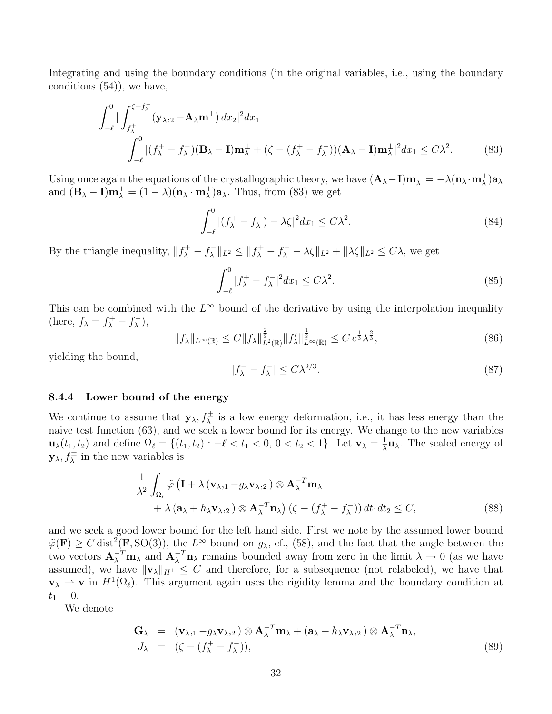Integrating and using the boundary conditions (in the original variables, i.e., using the boundary conditions (54)), we have,

$$
\int_{-\ell}^{0} \left| \int_{f_{\lambda}^{+}}^{\zeta + f_{\lambda}^{-}} (\mathbf{y}_{\lambda,2} - \mathbf{A}_{\lambda} \mathbf{m}^{\perp}) dx_{2} \right|^{2} dx_{1}
$$
\n
$$
= \int_{-\ell}^{0} \left| (f_{\lambda}^{+} - f_{\lambda}^{-}) (\mathbf{B}_{\lambda} - \mathbf{I}) \mathbf{m}_{\lambda}^{\perp} + (\zeta - (f_{\lambda}^{+} - f_{\lambda}^{-})) (\mathbf{A}_{\lambda} - \mathbf{I}) \mathbf{m}_{\lambda}^{\perp} \right|^{2} dx_{1} \leq C \lambda^{2}.
$$
\n(83)

Using once again the equations of the crystallographic theory, we have  $(\mathbf{A}_{\lambda}-\mathbf{I})\mathbf{m}_{\lambda}^{\perp}=-\lambda(\mathbf{n}_{\lambda}\cdot\mathbf{m}_{\lambda}^{\perp})\mathbf{a}_{\lambda}$ and  $(\mathbf{B}_{\lambda} - \mathbf{I})\mathbf{m}_{\lambda}^{\perp} = (1 - \lambda)(\mathbf{n}_{\lambda} \cdot \mathbf{m}_{\lambda}^{\perp})\mathbf{a}_{\lambda}$ . Thus, from (83) we get

$$
\int_{-\ell}^{0} |(f_{\lambda}^{+} - f_{\lambda}^{-}) - \lambda \zeta|^{2} dx_{1} \le C\lambda^{2}.
$$
\n(84)

By the triangle inequality,  $|| f_{\lambda}^{+} - f_{\lambda}^{-}$  $\|\lambda\|_{L^2} \le \|f_\lambda^+ - f_\lambda^- - \lambda\zeta\|_{L^2} + \|\lambda\zeta\|_{L^2} \le C\lambda$ , we get

$$
\int_{-\ell}^{0} |f_{\lambda}^{+} - f_{\lambda}^{-}|^{2} dx_{1} \le C\lambda^{2}.
$$
 (85)

This can be combined with the  $L^{\infty}$  bound of the derivative by using the interpolation inequality (here,  $f_{\lambda} = f_{\lambda}^{+} - f_{\lambda}^{-}$  $\frac{1}{\lambda}$ ),

$$
||f_{\lambda}||_{L^{\infty}(\mathbb{R})} \leq C||f_{\lambda}||_{L^{2}(\mathbb{R})}^{\frac{2}{3}}||f_{\lambda}'||_{L^{\infty}(\mathbb{R})}^{\frac{1}{3}} \leq C c^{\frac{1}{3}} \lambda^{\frac{2}{3}},
$$
\n(86)

yielding the bound,

$$
|f_{\lambda}^{+} - f_{\lambda}^{-}| \le C\lambda^{2/3}.\tag{87}
$$

#### 8.4.4 Lower bound of the energy

We continue to assume that  $y_{\lambda}, f_{\lambda}^{\pm}$  is a low energy deformation, i.e., it has less energy than the naive test function (63), and we seek a lower bound for its energy. We change to the new variables  $\mathbf{u}_{\lambda}(t_1, t_2)$  and define  $\Omega_{\ell} = \{(t_1, t_2) : -\ell < t_1 < 0, 0 < t_2 < 1\}$ . Let  $\mathbf{v}_{\lambda} = \frac{1}{\lambda}$  $\frac{1}{\lambda}$ **u**<sub> $\lambda$ </sub>. The scaled energy of  $\mathbf{y}_{\lambda}, f_{\lambda}^{\pm}$  in the new variables is

$$
\frac{1}{\lambda^2} \int_{\Omega_{\ell}} \tilde{\varphi} \left( \mathbf{I} + \lambda \left( \mathbf{v}_{\lambda,1} - g_{\lambda} \mathbf{v}_{\lambda,2} \right) \otimes \mathbf{A}_{\lambda}^{-T} \mathbf{m}_{\lambda} + \lambda \left( \mathbf{a}_{\lambda} + h_{\lambda} \mathbf{v}_{\lambda,2} \right) \otimes \mathbf{A}_{\lambda}^{-T} \mathbf{n}_{\lambda} \right) \left( \zeta - \left( f_{\lambda}^{+} - f_{\lambda}^{-} \right) \right) dt_1 dt_2 \leq C,
$$
\n(88)

and we seek a good lower bound for the left hand side. First we note by the assumed lower bound  $\tilde{\varphi}(\mathbf{F}) \geq C \text{dist}^2(\mathbf{F}, \text{SO}(3))$ , the  $L^{\infty}$  bound on  $g_{\lambda}$ , cf., (58), and the fact that the angle between the two vectors  $\mathbf{A}_{\lambda}^{-T}\mathbf{m}_{\lambda}$  and  $\mathbf{A}_{\lambda}^{-T}\mathbf{n}_{\lambda}$  remains bounded away from zero in the limit  $\lambda \to 0$  (as we have assumed), we have  $\|\mathbf{v}_{\lambda}\|_{H^1} \leq C$  and therefore, for a subsequence (not relabeled), we have that  $\mathbf{v}_{\lambda} \to \mathbf{v}$  in  $H^1(\Omega_{\ell})$ . This argument again uses the rigidity lemma and the boundary condition at  $t_1 = 0.$ 

We denote

$$
\mathbf{G}_{\lambda} = (\mathbf{v}_{\lambda,1} - g_{\lambda} \mathbf{v}_{\lambda,2}) \otimes \mathbf{A}_{\lambda}^{-T} \mathbf{m}_{\lambda} + (\mathbf{a}_{\lambda} + h_{\lambda} \mathbf{v}_{\lambda,2}) \otimes \mathbf{A}_{\lambda}^{-T} \mathbf{n}_{\lambda}, J_{\lambda} = (\zeta - (f_{\lambda}^{+} - f_{\lambda}^{-})),
$$
\n(89)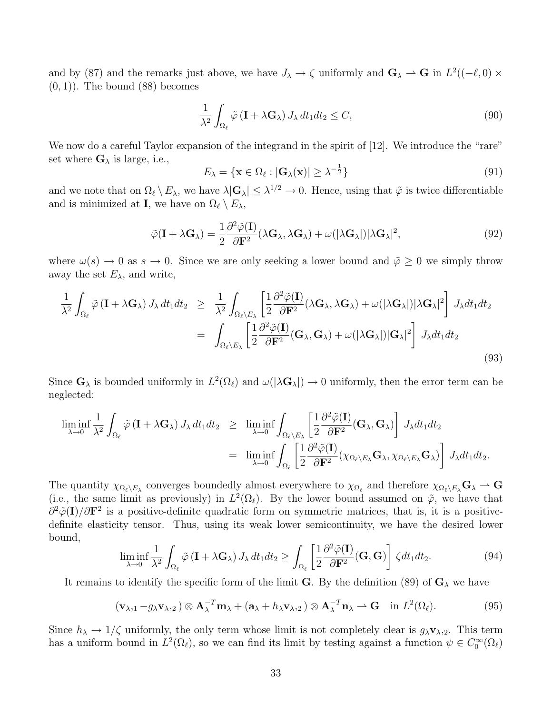and by (87) and the remarks just above, we have  $J_{\lambda} \to \zeta$  uniformly and  $\mathbf{G}_{\lambda} \to \mathbf{G}$  in  $L^2((-\ell,0) \times$  $(0, 1)$ . The bound  $(88)$  becomes

$$
\frac{1}{\lambda^2} \int_{\Omega_\ell} \tilde{\varphi} \left( \mathbf{I} + \lambda \mathbf{G}_{\lambda} \right) J_{\lambda} dt_1 dt_2 \le C,
$$
\n(90)

We now do a careful Taylor expansion of the integrand in the spirit of [12]. We introduce the "rare" set where  $\mathbf{G}_{\lambda}$  is large, i.e.,

$$
E_{\lambda} = \{ \mathbf{x} \in \Omega_{\ell} : |\mathbf{G}_{\lambda}(\mathbf{x})| \geq \lambda^{-\frac{1}{2}} \}
$$
\n(91)

and we note that on  $\Omega_{\ell} \setminus E_{\lambda}$ , we have  $\lambda |G_{\lambda}| \leq \lambda^{1/2} \to 0$ . Hence, using that  $\tilde{\varphi}$  is twice differentiable and is minimized at **I**, we have on  $\Omega_{\ell} \setminus E_{\lambda}$ ,

$$
\tilde{\varphi}(\mathbf{I} + \lambda \mathbf{G}_{\lambda}) = \frac{1}{2} \frac{\partial^2 \tilde{\varphi}(\mathbf{I})}{\partial \mathbf{F}^2} (\lambda \mathbf{G}_{\lambda}, \lambda \mathbf{G}_{\lambda}) + \omega (|\lambda \mathbf{G}_{\lambda}|) |\lambda \mathbf{G}_{\lambda}|^2,
$$
\n(92)

where  $\omega(s) \to 0$  as  $s \to 0$ . Since we are only seeking a lower bound and  $\tilde{\varphi} \geq 0$  we simply throw away the set  $E_{\lambda}$ , and write,

$$
\frac{1}{\lambda^2} \int_{\Omega_{\ell}} \tilde{\varphi} \left( \mathbf{I} + \lambda \mathbf{G}_{\lambda} \right) J_{\lambda} dt_1 dt_2 \geq \frac{1}{\lambda^2} \int_{\Omega_{\ell} \setminus E_{\lambda}} \left[ \frac{1}{2} \frac{\partial^2 \tilde{\varphi}(\mathbf{I})}{\partial \mathbf{F}^2} (\lambda \mathbf{G}_{\lambda}, \lambda \mathbf{G}_{\lambda}) + \omega (|\lambda \mathbf{G}_{\lambda}|) |\lambda \mathbf{G}_{\lambda}|^2 \right] J_{\lambda} dt_1 dt_2
$$

$$
= \int_{\Omega_{\ell} \setminus E_{\lambda}} \left[ \frac{1}{2} \frac{\partial^2 \tilde{\varphi}(\mathbf{I})}{\partial \mathbf{F}^2} (\mathbf{G}_{\lambda}, \mathbf{G}_{\lambda}) + \omega (|\lambda \mathbf{G}_{\lambda}|) |\mathbf{G}_{\lambda}|^2 \right] J_{\lambda} dt_1 dt_2
$$
(93)

Since  $G_{\lambda}$  is bounded uniformly in  $L^2(\Omega_{\ell})$  and  $\omega(|\lambda G_{\lambda}|) \to 0$  uniformly, then the error term can be neglected:

$$
\liminf_{\lambda \to 0} \frac{1}{\lambda^2} \int_{\Omega_{\ell}} \tilde{\varphi} (\mathbf{I} + \lambda \mathbf{G}_{\lambda}) J_{\lambda} dt_1 dt_2 \geq \liminf_{\lambda \to 0} \int_{\Omega_{\ell} \setminus E_{\lambda}} \left[ \frac{1}{2} \frac{\partial^2 \tilde{\varphi}(\mathbf{I})}{\partial \mathbf{F}^2} (\mathbf{G}_{\lambda}, \mathbf{G}_{\lambda}) \right] J_{\lambda} dt_1 dt_2
$$
  
\n
$$
= \liminf_{\lambda \to 0} \int_{\Omega_{\ell}} \left[ \frac{1}{2} \frac{\partial^2 \tilde{\varphi}(\mathbf{I})}{\partial \mathbf{F}^2} (\chi_{\Omega_{\ell} \setminus E_{\lambda}} \mathbf{G}_{\lambda}, \chi_{\Omega_{\ell} \setminus E_{\lambda}} \mathbf{G}_{\lambda}) \right] J_{\lambda} dt_1 dt_2.
$$

The quantity  $\chi_{\Omega_\ell \setminus E_\lambda}$  converges boundedly almost everywhere to  $\chi_{\Omega_\ell}$  and therefore  $\chi_{\Omega_\ell \setminus E_\lambda} \mathbf{G}_\lambda \to \mathbf{G}$ (i.e., the same limit as previously) in  $L^2(\Omega_\ell)$ . By the lower bound assumed on  $\tilde{\varphi}$ , we have that  $\partial^2 \tilde{\varphi}(\mathbf{I})/\partial \mathbf{F}^2$  is a positive-definite quadratic form on symmetric matrices, that is, it is a positivedefinite elasticity tensor. Thus, using its weak lower semicontinuity, we have the desired lower bound,

$$
\liminf_{\lambda \to 0} \frac{1}{\lambda^2} \int_{\Omega_\ell} \tilde{\varphi} \left( \mathbf{I} + \lambda \mathbf{G}_{\lambda} \right) J_{\lambda} dt_1 dt_2 \ge \int_{\Omega_\ell} \left[ \frac{1}{2} \frac{\partial^2 \tilde{\varphi}(\mathbf{I})}{\partial \mathbf{F}^2} (\mathbf{G}, \mathbf{G}) \right] \zeta dt_1 dt_2.
$$
 (94)

It remains to identify the specific form of the limit G. By the definition (89) of  $G_\lambda$  we have

$$
(\mathbf{v}_{\lambda,1}-g_{\lambda}\mathbf{v}_{\lambda,2}) \otimes \mathbf{A}_{\lambda}^{-T}\mathbf{m}_{\lambda} + (\mathbf{a}_{\lambda} + h_{\lambda}\mathbf{v}_{\lambda,2}) \otimes \mathbf{A}_{\lambda}^{-T}\mathbf{n}_{\lambda} \rightharpoonup \mathbf{G} \quad \text{in } L^{2}(\Omega_{\ell}).
$$
 (95)

Since  $h_{\lambda} \to 1/\zeta$  uniformly, the only term whose limit is not completely clear is  $g_{\lambda} \mathbf{v}_{\lambda,2}$ . This term has a uniform bound in  $L^2(\Omega_\ell)$ , so we can find its limit by testing against a function  $\psi \in C_0^{\infty}(\Omega_\ell)$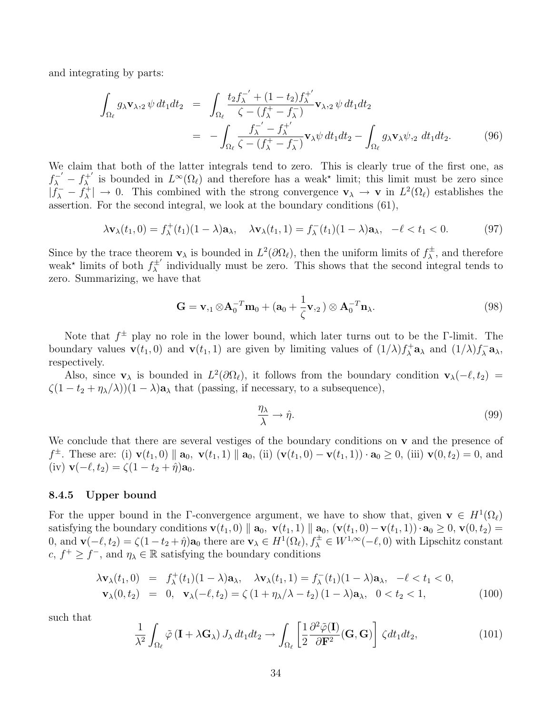and integrating by parts:

$$
\int_{\Omega_{\ell}} g_{\lambda} \mathbf{v}_{\lambda,2} \,\psi \,dt_1 dt_2 = \int_{\Omega_{\ell}} \frac{t_2 f_{\lambda}^{-'} + (1 - t_2) f_{\lambda}^{+'}}{\zeta - (f_{\lambda}^{+} - f_{\lambda}^{-})} \mathbf{v}_{\lambda,2} \,\psi \,dt_1 dt_2
$$
\n
$$
= - \int_{\Omega_{\ell}} \frac{f_{\lambda}^{-'} - f_{\lambda}^{+'}}{\zeta - (f_{\lambda}^{+} - f_{\lambda}^{-})} \mathbf{v}_{\lambda} \psi \,dt_1 dt_2 - \int_{\Omega_{\ell}} g_{\lambda} \mathbf{v}_{\lambda} \psi_{,2} \,dt_1 dt_2. \tag{96}
$$

We claim that both of the latter integrals tend to zero. This is clearly true of the first one, as  $f_{\lambda}^{-'}-f_{\lambda}^{+'}$ <sup> $\lambda^{+'}$ </sup> is bounded in  $L^{\infty}(\Omega_{\ell})$  and therefore has a weak<sup>\*</sup> limit; this limit must be zero since  $|f_\lambda^- - f_\lambda^+|$  $\mathbf{v}_{\lambda}$   $\rightarrow$  0. This combined with the strong convergence  $\mathbf{v}_{\lambda} \rightarrow \mathbf{v}$  in  $L^2(\Omega_{\ell})$  establishes the assertion. For the second integral, we look at the boundary conditions (61),

$$
\lambda \mathbf{v}_{\lambda}(t_1,0) = f_{\lambda}^+(t_1)(1-\lambda)\mathbf{a}_{\lambda}, \quad \lambda \mathbf{v}_{\lambda}(t_1,1) = f_{\lambda}^-(t_1)(1-\lambda)\mathbf{a}_{\lambda}, \quad -\ell < t_1 < 0. \tag{97}
$$

Since by the trace theorem  $\mathbf{v}_{\lambda}$  is bounded in  $L^2(\partial\Omega_{\ell})$ , then the uniform limits of  $f^{\pm}_{\lambda}$  $x^{\pm}_{\lambda}$ , and therefore weak<sup>\*</sup> limits of both  $f^{\pm'}_{\lambda}$  $\lambda^{\pm}$  individually must be zero. This shows that the second integral tends to zero. Summarizing, we have that

$$
\mathbf{G} = \mathbf{v}_{11} \otimes \mathbf{A}_{0}^{-T} \mathbf{m}_{0} + (\mathbf{a}_{0} + \frac{1}{\zeta} \mathbf{v}_{2}) \otimes \mathbf{A}_{0}^{-T} \mathbf{n}_{\lambda}.
$$
 (98)

Note that  $f^{\pm}$  play no role in the lower bound, which later turns out to be the Γ-limit. The boundary values  $\mathbf{v}(t_1,0)$  and  $\mathbf{v}(t_1,1)$  are given by limiting values of  $(1/\lambda)f_{\lambda}^+$  $\chi^+_{\lambda}$ **a**<sub>λ</sub> and  $(1/\lambda)f^-_{\lambda}$  $\bar{\lambda}^{\mathbf{-}}\mathbf{a}_{\lambda},$ respectively.

Also, since  $\mathbf{v}_{\lambda}$  is bounded in  $L^2(\partial\Omega_{\ell})$ , it follows from the boundary condition  $\mathbf{v}_{\lambda}(-\ell,t_2)$  $\zeta(1-t_2+\eta_\lambda/\lambda)(1-\lambda)\mathbf{a}_\lambda$  that (passing, if necessary, to a subsequence),

$$
\frac{\eta_{\lambda}}{\lambda} \to \hat{\eta}.\tag{99}
$$

We conclude that there are several vestiges of the boundary conditions on  $\bf{v}$  and the presence of  $f^{\pm}$ . These are: (i)  $\mathbf{v}(t_1, 0) \parallel \mathbf{a}_0$ ,  $\mathbf{v}(t_1, 1) \parallel \mathbf{a}_0$ , (ii)  $(\mathbf{v}(t_1, 0) - \mathbf{v}(t_1, 1)) \cdot \mathbf{a}_0 \ge 0$ , (iii)  $\mathbf{v}(0, t_2) = 0$ , and (iv)  $\mathbf{v}(-\ell, t_2) = \zeta(1 - t_2 + \hat{\eta})\mathbf{a}_0$ .

#### 8.4.5 Upper bound

For the upper bound in the Γ-convergence argument, we have to show that, given  $\mathbf{v} \in H^1(\Omega_\ell)$ satisfying the boundary conditions  $\mathbf{v}(t_1, 0) \parallel \mathbf{a}_0$ ,  $\mathbf{v}(t_1, 1) \parallel \mathbf{a}_0$ ,  $(\mathbf{v}(t_1, 0) - \mathbf{v}(t_1, 1)) \cdot \mathbf{a}_0 \geq 0$ ,  $\mathbf{v}(0, t_2) =$ 0, and  $\mathbf{v}(-\ell, t_2) = \zeta(1 - t_2 + \hat{\eta})\mathbf{a}_0$  there are  $\mathbf{v}_{\lambda} \in H^1(\Omega_{\ell}), f^{\pm}_{\lambda} \in W^{1,\infty}(-\ell, 0)$  with Lipschitz constant  $c, f^+ \geq f^-$ , and  $\eta_{\lambda} \in \mathbb{R}$  satisfying the boundary conditions

$$
\lambda \mathbf{v}_{\lambda}(t_1,0) = f_{\lambda}^{+}(t_1)(1-\lambda)\mathbf{a}_{\lambda}, \quad \lambda \mathbf{v}_{\lambda}(t_1,1) = f_{\lambda}^{-}(t_1)(1-\lambda)\mathbf{a}_{\lambda}, \quad -\ell < t_1 < 0, \n\mathbf{v}_{\lambda}(0,t_2) = 0, \quad \mathbf{v}_{\lambda}(-\ell,t_2) = \zeta(1+\eta_{\lambda}/\lambda-t_2)(1-\lambda)\mathbf{a}_{\lambda}, \quad 0 < t_2 < 1,
$$
\n(100)

such that

$$
\frac{1}{\lambda^2} \int_{\Omega_\ell} \tilde{\varphi} \left( \mathbf{I} + \lambda \mathbf{G}_{\lambda} \right) J_{\lambda} dt_1 dt_2 \rightarrow \int_{\Omega_\ell} \left[ \frac{1}{2} \frac{\partial^2 \tilde{\varphi}(\mathbf{I})}{\partial \mathbf{F}^2} (\mathbf{G}, \mathbf{G}) \right] \zeta dt_1 dt_2, \tag{101}
$$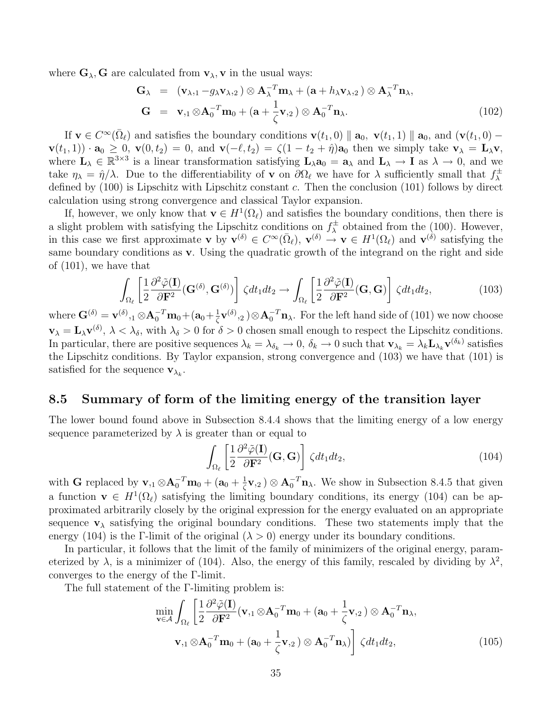where  $\mathbf{G}_{\lambda}$ ,  $\mathbf{G}$  are calculated from  $\mathbf{v}_{\lambda}$ ,  $\mathbf{v}$  in the usual ways:

$$
\mathbf{G}_{\lambda} = (\mathbf{v}_{\lambda,1} - g_{\lambda}\mathbf{v}_{\lambda,2}) \otimes \mathbf{A}_{\lambda}^{-T}\mathbf{m}_{\lambda} + (\mathbf{a} + h_{\lambda}\mathbf{v}_{\lambda,2}) \otimes \mathbf{A}_{\lambda}^{-T}\mathbf{n}_{\lambda},
$$
  

$$
\mathbf{G} = \mathbf{v}_{,1} \otimes \mathbf{A}_{0}^{-T}\mathbf{m}_{0} + (\mathbf{a} + \frac{1}{\zeta}\mathbf{v}_{,2}) \otimes \mathbf{A}_{0}^{-T}\mathbf{n}_{\lambda}. \tag{102}
$$

If  $\mathbf{v} \in C^{\infty}(\overline{\Omega}_{\ell})$  and satisfies the boundary conditions  $\mathbf{v}(t_1, 0) \parallel \mathbf{a}_0$ ,  $\mathbf{v}(t_1, 1) \parallel \mathbf{a}_0$ , and  $(\mathbf{v}(t_1, 0) \mathbf{v}(t_1, 1)$  ·  $\mathbf{a}_0 \geq 0$ ,  $\mathbf{v}(0, t_2) = 0$ , and  $\mathbf{v}(-\ell, t_2) = \zeta(1 - t_2 + \hat{\eta})\mathbf{a}_0$  then we simply take  $\mathbf{v}_\lambda = \mathbf{L}_\lambda \mathbf{v}$ , where  $\mathbf{L}_{\lambda} \in \mathbb{R}^{3 \times 3}$  is a linear transformation satisfying  $\mathbf{L}_{\lambda} \mathbf{a}_0 = \mathbf{a}_{\lambda}$  and  $\mathbf{L}_{\lambda} \rightarrow \mathbf{I}$  as  $\lambda \rightarrow 0$ , and we take  $\eta_{\lambda} = \hat{\eta}/\lambda$ . Due to the differentiability of **v** on  $\partial\Omega_{\ell}$  we have for  $\lambda$  sufficiently small that  $f_{\lambda}^{\pm}$ λ defined by  $(100)$  is Lipschitz with Lipschitz constant c. Then the conclusion  $(101)$  follows by direct calculation using strong convergence and classical Taylor expansion.

If, however, we only know that  $\mathbf{v} \in H^1(\Omega_\ell)$  and satisfies the boundary conditions, then there is a slight problem with satisfying the Lipschitz conditions on  $f_{\lambda}^{\pm}$  $\chi^{\pm}$  obtained from the (100). However, in this case we first approximate **v** by  $\mathbf{v}^{(\delta)} \in C^{\infty}(\overline{\Omega}_{\ell}), \mathbf{v}^{(\delta)} \to \mathbf{v} \in H^{1}(\Omega_{\ell})$  and  $\mathbf{v}^{(\delta)}$  satisfying the same boundary conditions as v. Using the quadratic growth of the integrand on the right and side of (101), we have that

$$
\int_{\Omega_{\ell}} \left[ \frac{1}{2} \frac{\partial^2 \tilde{\varphi}(\mathbf{I})}{\partial \mathbf{F}^2} (\mathbf{G}^{(\delta)}, \mathbf{G}^{(\delta)}) \right] \zeta dt_1 dt_2 \to \int_{\Omega_{\ell}} \left[ \frac{1}{2} \frac{\partial^2 \tilde{\varphi}(\mathbf{I})}{\partial \mathbf{F}^2} (\mathbf{G}, \mathbf{G}) \right] \zeta dt_1 dt_2, \tag{103}
$$

where  $\mathbf{G}^{(\delta)} = \mathbf{v}^{(\delta)},_1 \otimes \mathbf{A}_0^{-T} \mathbf{m}_0 + (\mathbf{a}_0 + \frac{1}{\zeta})$  $\frac{1}{\zeta} \mathbf{v}^{(\delta)}$ ,  $\gamma$   $\otimes \mathbf{A}_0^{-T} \mathbf{n}_{\lambda}$ . For the left hand side of (101) we now choose  $\mathbf{v}_{\lambda} = \mathbf{L}_{\lambda} \mathbf{v}^{(\delta)}, \ \lambda < \lambda_{\delta}$ , with  $\lambda_{\delta} > 0$  for  $\delta > 0$  chosen small enough to respect the Lipschitz conditions. In particular, there are positive sequences  $\lambda_k = \lambda_{\delta_k} \to 0$ ,  $\delta_k \to 0$  such that  $\mathbf{v}_{\lambda_k} = \lambda_k \mathbf{L}_{\lambda_k} \mathbf{v}^{(\delta_k)}$  satisfies the Lipschitz conditions. By Taylor expansion, strong convergence and (103) we have that (101) is satisfied for the sequence  $\mathbf{v}_{\lambda_k}$ .

#### 8.5 Summary of form of the limiting energy of the transition layer

The lower bound found above in Subsection 8.4.4 shows that the limiting energy of a low energy sequence parameterized by  $\lambda$  is greater than or equal to

$$
\int_{\Omega_{\ell}} \left[ \frac{1}{2} \frac{\partial^2 \tilde{\varphi}(\mathbf{I})}{\partial \mathbf{F}^2} (\mathbf{G}, \mathbf{G}) \right] \zeta dt_1 dt_2, \tag{104}
$$

with G replaced by  $\mathbf{v}_{1} \otimes \mathbf{A}_{0}^{-T} \mathbf{m}_{0} + (\mathbf{a}_{0} + \frac{1}{\zeta})$  $(\frac{1}{\zeta}\mathbf{v}_{1,2}) \otimes \mathbf{A}_0^{-T}\mathbf{n}_{\lambda}$ . We show in Subsection 8.4.5 that given a function  $\mathbf{v} \in H^1(\Omega_\ell)$  satisfying the limiting boundary conditions, its energy (104) can be approximated arbitrarily closely by the original expression for the energy evaluated on an appropriate sequence  $\mathbf{v}_{\lambda}$  satisfying the original boundary conditions. These two statements imply that the energy (104) is the Γ-limit of the original  $(λ > 0)$  energy under its boundary conditions.

In particular, it follows that the limit of the family of minimizers of the original energy, parameterized by  $\lambda$ , is a minimizer of (104). Also, the energy of this family, rescaled by dividing by  $\lambda^2$ , converges to the energy of the Γ-limit.

The full statement of the Γ-limiting problem is:

$$
\min_{\mathbf{v}\in\mathcal{A}} \int_{\Omega_{\ell}} \left[ \frac{1}{2} \frac{\partial^2 \tilde{\varphi}(\mathbf{I})}{\partial \mathbf{F}^2} (\mathbf{v}_{,1} \otimes \mathbf{A}_0^{-T} \mathbf{m}_0 + (\mathbf{a}_0 + \frac{1}{\zeta} \mathbf{v}_{,2}) \otimes \mathbf{A}_0^{-T} \mathbf{n}_\lambda, \right. \n\mathbf{v}_{,1} \otimes \mathbf{A}_0^{-T} \mathbf{m}_0 + (\mathbf{a}_0 + \frac{1}{\zeta} \mathbf{v}_{,2}) \otimes \mathbf{A}_0^{-T} \mathbf{n}_\lambda) \right] \zeta dt_1 dt_2,
$$
\n(105)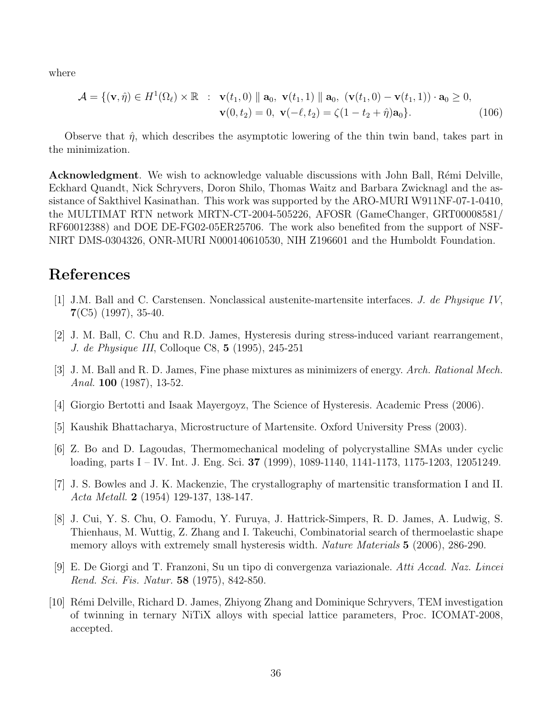where

$$
\mathcal{A} = \{ (\mathbf{v}, \hat{\eta}) \in H^1(\Omega_\ell) \times \mathbb{R} : \mathbf{v}(t_1, 0) \parallel \mathbf{a}_0, \mathbf{v}(t_1, 1) \parallel \mathbf{a}_0, \ (\mathbf{v}(t_1, 0) - \mathbf{v}(t_1, 1)) \cdot \mathbf{a}_0 \ge 0, \\ \mathbf{v}(0, t_2) = 0, \ \mathbf{v}(-\ell, t_2) = \zeta(1 - t_2 + \hat{\eta})\mathbf{a}_0 \}. \tag{106}
$$

Observe that  $\hat{\eta}$ , which describes the asymptotic lowering of the thin twin band, takes part in the minimization.

**Acknowledgment**. We wish to acknowledge valuable discussions with John Ball, Rémi Delville, Eckhard Quandt, Nick Schryvers, Doron Shilo, Thomas Waitz and Barbara Zwicknagl and the assistance of Sakthivel Kasinathan. This work was supported by the ARO-MURI W911NF-07-1-0410, the MULTIMAT RTN network MRTN-CT-2004-505226, AFOSR (GameChanger, GRT00008581/ RF60012388) and DOE DE-FG02-05ER25706. The work also benefited from the support of NSF-NIRT DMS-0304326, ONR-MURI N000140610530, NIH Z196601 and the Humboldt Foundation.

### References

- [1] J.M. Ball and C. Carstensen. Nonclassical austenite-martensite interfaces. J. de Physique IV, 7(C5) (1997), 35-40.
- [2] J. M. Ball, C. Chu and R.D. James, Hysteresis during stress-induced variant rearrangement, J. de Physique III, Colloque C8, 5 (1995), 245-251
- [3] J. M. Ball and R. D. James, Fine phase mixtures as minimizers of energy. Arch. Rational Mech. Anal. **100** (1987), 13-52.
- [4] Giorgio Bertotti and Isaak Mayergoyz, The Science of Hysteresis. Academic Press (2006).
- [5] Kaushik Bhattacharya, Microstructure of Martensite. Oxford University Press (2003).
- [6] Z. Bo and D. Lagoudas, Thermomechanical modeling of polycrystalline SMAs under cyclic loading, parts I – IV. Int. J. Eng. Sci. 37 (1999), 1089-1140, 1141-1173, 1175-1203, 12051249.
- [7] J. S. Bowles and J. K. Mackenzie, The crystallography of martensitic transformation I and II. Acta Metall. 2 (1954) 129-137, 138-147.
- [8] J. Cui, Y. S. Chu, O. Famodu, Y. Furuya, J. Hattrick-Simpers, R. D. James, A. Ludwig, S. Thienhaus, M. Wuttig, Z. Zhang and I. Takeuchi, Combinatorial search of thermoelastic shape memory alloys with extremely small hysteresis width. Nature Materials 5 (2006), 286-290.
- [9] E. De Giorgi and T. Franzoni, Su un tipo di convergenza variazionale. Atti Accad. Naz. Lincei Rend. Sci. Fis. Natur. 58 (1975), 842-850.
- [10] R´emi Delville, Richard D. James, Zhiyong Zhang and Dominique Schryvers, TEM investigation of twinning in ternary NiTiX alloys with special lattice parameters, Proc. ICOMAT-2008, accepted.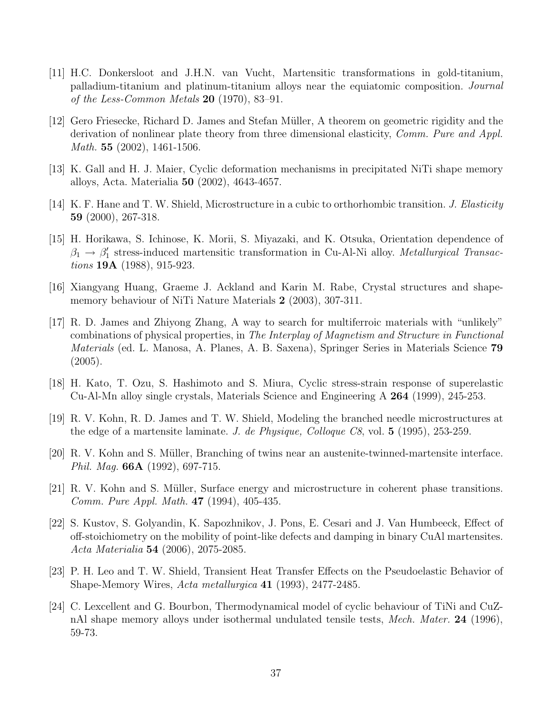- [11] H.C. Donkersloot and J.H.N. van Vucht, Martensitic transformations in gold-titanium, palladium-titanium and platinum-titanium alloys near the equiatomic composition. Journal of the Less-Common Metals  $20$  (1970), 83–91.
- [12] Gero Friesecke, Richard D. James and Stefan Müller, A theorem on geometric rigidity and the derivation of nonlinear plate theory from three dimensional elasticity, Comm. Pure and Appl. Math. 55 (2002), 1461-1506.
- [13] K. Gall and H. J. Maier, Cyclic deformation mechanisms in precipitated NiTi shape memory alloys, Acta. Materialia 50 (2002), 4643-4657.
- [14] K. F. Hane and T. W. Shield, Microstructure in a cubic to orthorhombic transition. J. Elasticity 59 (2000), 267-318.
- [15] H. Horikawa, S. Ichinose, K. Morii, S. Miyazaki, and K. Otsuka, Orientation dependence of  $\beta_1 \rightarrow \beta_1'$  stress-induced martensitic transformation in Cu-Al-Ni alloy. *Metallurgical Transac*tions 19A (1988), 915-923.
- [16] Xiangyang Huang, Graeme J. Ackland and Karin M. Rabe, Crystal structures and shapememory behaviour of NiTi Nature Materials 2 (2003), 307-311.
- [17] R. D. James and Zhiyong Zhang, A way to search for multiferroic materials with "unlikely combinations of physical properties, in The Interplay of Magnetism and Structure in Functional Materials (ed. L. Manosa, A. Planes, A. B. Saxena), Springer Series in Materials Science 79  $(2005).$
- [18] H. Kato, T. Ozu, S. Hashimoto and S. Miura, Cyclic stress-strain response of superelastic Cu-Al-Mn alloy single crystals, Materials Science and Engineering A 264 (1999), 245-253.
- [19] R. V. Kohn, R. D. James and T. W. Shield, Modeling the branched needle microstructures at the edge of a martensite laminate. J. de Physique, Colloque C8, vol. 5 (1995), 253-259.
- [20] R. V. Kohn and S. Müller, Branching of twins near an austenite-twinned-martensite interface. Phil. Mag. 66A (1992), 697-715.
- [21] R. V. Kohn and S. M¨uller, Surface energy and microstructure in coherent phase transitions. Comm. Pure Appl. Math. 47 (1994), 405-435.
- [22] S. Kustov, S. Golyandin, K. Sapozhnikov, J. Pons, E. Cesari and J. Van Humbeeck, Effect of off-stoichiometry on the mobility of point-like defects and damping in binary CuAl martensites. Acta Materialia 54 (2006), 2075-2085.
- [23] P. H. Leo and T. W. Shield, Transient Heat Transfer Effects on the Pseudoelastic Behavior of Shape-Memory Wires, Acta metallurgica 41 (1993), 2477-2485.
- [24] C. Lexcellent and G. Bourbon, Thermodynamical model of cyclic behaviour of TiNi and CuZnAl shape memory alloys under isothermal undulated tensile tests, Mech. Mater. 24 (1996), 59-73.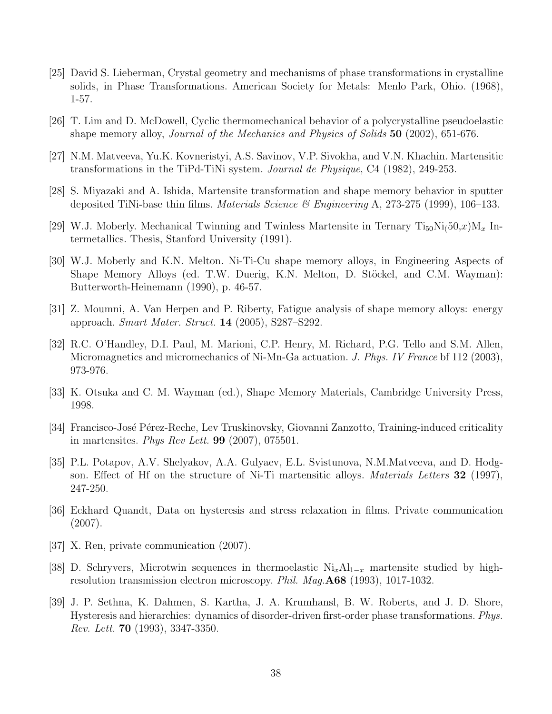- [25] David S. Lieberman, Crystal geometry and mechanisms of phase transformations in crystalline solids, in Phase Transformations. American Society for Metals: Menlo Park, Ohio. (1968), 1-57.
- [26] T. Lim and D. McDowell, Cyclic thermomechanical behavior of a polycrystalline pseudoelastic shape memory alloy, *Journal of the Mechanics and Physics of Solids* 50 (2002), 651-676.
- [27] N.M. Matveeva, Yu.K. Kovneristyi, A.S. Savinov, V.P. Sivokha, and V.N. Khachin. Martensitic transformations in the TiPd-TiNi system. Journal de Physique, C4 (1982), 249-253.
- [28] S. Miyazaki and A. Ishida, Martensite transformation and shape memory behavior in sputter deposited TiNi-base thin films. *Materials Science*  $\mathscr B$  *Engineering* A, 273-275 (1999), 106-133.
- [29] W.J. Moberly. Mechanical Twinning and Twinless Martensite in Ternary  $T_{50}Ni(50,x)M_x$  Intermetallics. Thesis, Stanford University (1991).
- [30] W.J. Moberly and K.N. Melton. Ni-Ti-Cu shape memory alloys, in Engineering Aspects of Shape Memory Alloys (ed. T.W. Duerig, K.N. Melton, D. Stöckel, and C.M. Wayman): Butterworth-Heinemann (1990), p. 46-57.
- [31] Z. Moumni, A. Van Herpen and P. Riberty, Fatigue analysis of shape memory alloys: energy approach. Smart Mater. Struct. 14 (2005), S287–S292.
- [32] R.C. O'Handley, D.I. Paul, M. Marioni, C.P. Henry, M. Richard, P.G. Tello and S.M. Allen, Micromagnetics and micromechanics of Ni-Mn-Ga actuation. J. Phys. IV France bf 112 (2003), 973-976.
- [33] K. Otsuka and C. M. Wayman (ed.), Shape Memory Materials, Cambridge University Press, 1998.
- [34] Francisco-José Pérez-Reche, Lev Truskinovsky, Giovanni Zanzotto, Training-induced criticality in martensites. Phys Rev Lett. 99 (2007), 075501.
- [35] P.L. Potapov, A.V. Shelyakov, A.A. Gulyaev, E.L. Svistunova, N.M.Matveeva, and D. Hodgson. Effect of Hf on the structure of Ni-Ti martensitic alloys. Materials Letters 32 (1997), 247-250.
- [36] Eckhard Quandt, Data on hysteresis and stress relaxation in films. Private communication (2007).
- [37] X. Ren, private communication (2007).
- [38] D. Schryvers, Microtwin sequences in thermoelastic  $Ni_xA_{1-x}$  martensite studied by highresolution transmission electron microscopy. Phil. Mag.A68 (1993), 1017-1032.
- [39] J. P. Sethna, K. Dahmen, S. Kartha, J. A. Krumhansl, B. W. Roberts, and J. D. Shore, Hysteresis and hierarchies: dynamics of disorder-driven first-order phase transformations. Phys. Rev. Lett. 70 (1993), 3347-3350.